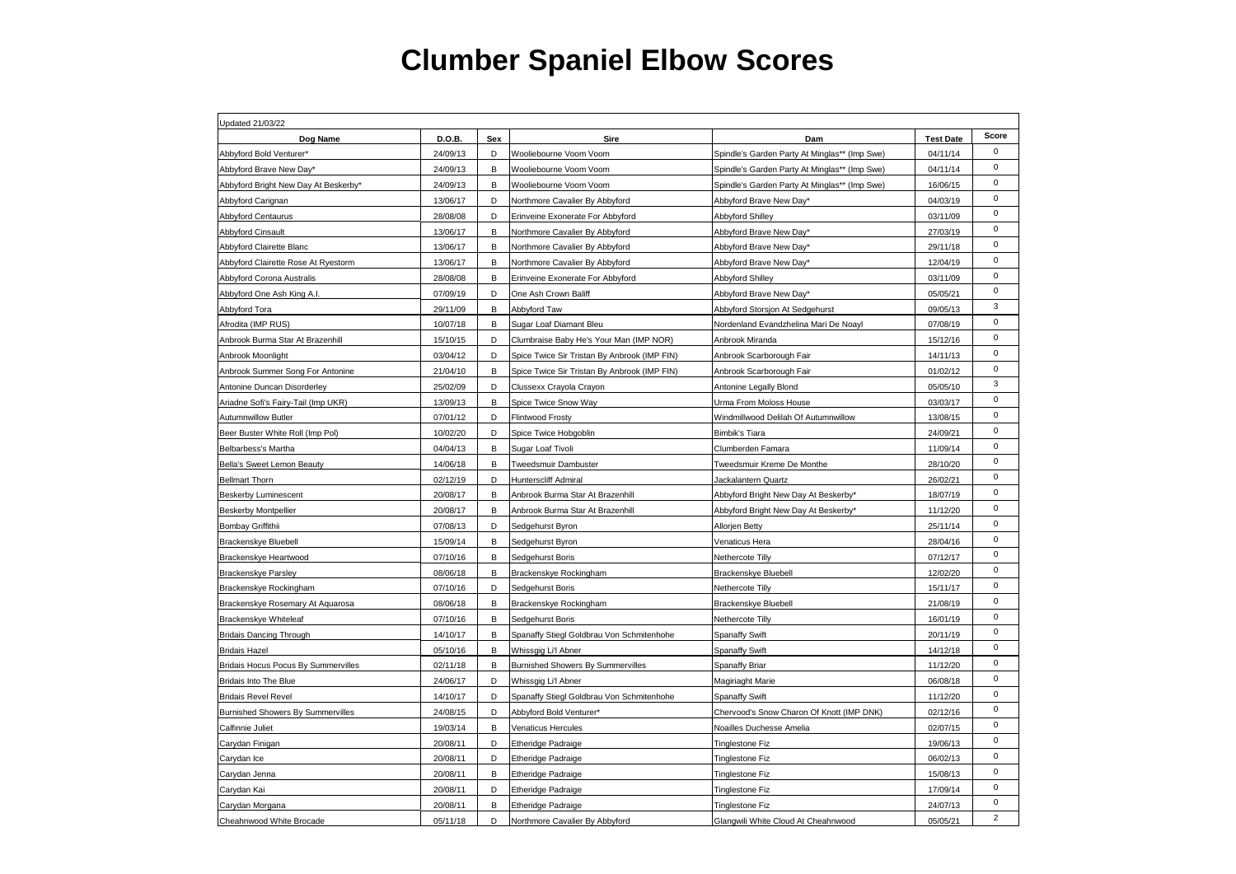| Updated 21/03/22                                                                                                                  |                  |                |  |  |  |  |
|-----------------------------------------------------------------------------------------------------------------------------------|------------------|----------------|--|--|--|--|
| D.O.B.<br>Sex<br>Sire<br>Dam<br>Dog Name                                                                                          | <b>Test Date</b> | Score          |  |  |  |  |
| 24/09/13<br>D<br>Abbyford Bold Venturer*<br>Spindle's Garden Party At Minglas** (Imp Swe)<br>Wooliebourne Voom Voom               | 04/11/14         | $\mathbf 0$    |  |  |  |  |
| 24/09/13<br>В<br>Abbyford Brave New Day*<br>Wooliebourne Voom Voom<br>Spindle's Garden Party At Minglas** (Imp Swe)               | 04/11/14         | $\mathbf 0$    |  |  |  |  |
| Abbyford Bright New Day At Beskerby*<br>24/09/13<br>B<br>Wooliebourne Voom Voom<br>Spindle's Garden Party At Minglas** (Imp Swe)  | 16/06/15         | $\mathbf 0$    |  |  |  |  |
| D<br>Abbyford Carignan<br>13/06/17<br>Northmore Cavalier By Abbyford<br>Abbyford Brave New Day*                                   | 04/03/19         | $\mathbf 0$    |  |  |  |  |
| 28/08/08<br>D<br>Abbyford Centaurus<br>Erinveine Exonerate For Abbyford<br>Abbyford Shilley                                       | 03/11/09         | $\mathbf 0$    |  |  |  |  |
| B<br><b>Abbyford Cinsault</b><br>13/06/17<br>Northmore Cavalier By Abbyford<br>Abbyford Brave New Day*                            | 27/03/19         | $\mathbf 0$    |  |  |  |  |
| 13/06/17<br>В<br>Abbyford Clairette Blanc<br>Northmore Cavalier By Abbyford<br>Abbyford Brave New Day*                            | 29/11/18         | $\mathbf 0$    |  |  |  |  |
| 13/06/17<br>Abbyford Clairette Rose At Ryestorm<br>В<br>Northmore Cavalier By Abbyford<br>Abbyford Brave New Day*                 | 12/04/19         | $\mathbf 0$    |  |  |  |  |
| Abbyford Corona Australis<br>28/08/08<br>В<br>Erinveine Exonerate For Abbyford<br>Abbyford Shilley                                | 03/11/09         | $\mathbf 0$    |  |  |  |  |
| 07/09/19<br>D<br>Abbyford One Ash King A.I.<br>One Ash Crown Baliff<br>Abbyford Brave New Day*                                    | 05/05/21         | $\mathbf 0$    |  |  |  |  |
| Abbyford Tora<br>29/11/09<br>В<br>Abbyford Taw<br>Abbyford Storsjon At Sedgehurst                                                 | 09/05/13         | 3              |  |  |  |  |
| Afrodita (IMP RUS)<br>10/07/18<br>В<br>Sugar Loaf Diamant Bleu<br>Nordenland Evandzhelina Mari De Noayl                           | 07/08/19         | $\mathsf 0$    |  |  |  |  |
| Anbrook Burma Star At Brazenhill<br>15/10/15<br>D<br>Clumbraise Baby He's Your Man (IMP NOR)<br>Anbrook Miranda                   | 15/12/16         | $\mathbf 0$    |  |  |  |  |
| 03/04/12<br>D<br>Anbrook Moonlight<br>Spice Twice Sir Tristan By Anbrook (IMP FIN)<br>Anbrook Scarborough Fair                    | 14/11/13         | $\mathbf 0$    |  |  |  |  |
| 21/04/10<br>В<br>Anbrook Summer Song For Antonine<br>Spice Twice Sir Tristan By Anbrook (IMP FIN)<br>Anbrook Scarborough Fair     | 01/02/12         | $\mathbf 0$    |  |  |  |  |
| 25/02/09<br>Antonine Duncan Disorderley<br>D<br>Clussexx Crayola Crayon<br>Antonine Legally Blond                                 | 05/05/10         | 3              |  |  |  |  |
| Ariadne Sofi's Fairy-Tail (Imp UKR)<br>13/09/13<br>В<br>Spice Twice Snow Way<br>Urma From Moloss House                            | 03/03/17         | $\mathbf 0$    |  |  |  |  |
| 07/01/12<br>D<br>Flintwood Frosty<br>Windmillwood Delilah Of Autumnwillow<br><b>Autumnwillow Butler</b>                           | 13/08/15         | $\mathbf 0$    |  |  |  |  |
| 10/02/20<br>Beer Buster White Roll (Imp Pol)<br>D<br>Spice Twice Hobgoblin<br>Bimbik's Tiara                                      | 24/09/21         | $\mathbf 0$    |  |  |  |  |
| в<br>04/04/13<br>Belbarbess's Martha<br>Sugar Loaf Tivoli<br>Clumberden Famara                                                    | 11/09/14         | $\mathbf 0$    |  |  |  |  |
| 14/06/18<br>В<br>Bella's Sweet Lemon Beauty<br><b>Tweedsmuir Dambuster</b><br>Tweedsmuir Kreme De Monthe                          | 28/10/20         | $\mathsf 0$    |  |  |  |  |
| 02/12/19<br>D<br><b>Bellmart Thorn</b><br><b>Hunterscliff Admiral</b><br>Jackalantern Quartz                                      | 26/02/21         | $\mathbf 0$    |  |  |  |  |
| <b>Beskerby Luminescent</b><br>20/08/17<br>в<br>Anbrook Burma Star At Brazenhill<br>Abbyford Bright New Day At Beskerby*          | 18/07/19         | $\mathbf 0$    |  |  |  |  |
| 20/08/17<br>В<br>Abbyford Bright New Day At Beskerby*<br><b>Beskerby Montpellier</b><br>Anbrook Burma Star At Brazenhill          | 11/12/20         | $\mathbf 0$    |  |  |  |  |
| Bombay Griffithii<br>07/08/13<br>D<br>Sedgehurst Byron<br>Allorjen Betty                                                          | 25/11/14         | $\mathbf 0$    |  |  |  |  |
| 15/09/14<br>В<br>Brackenskye Bluebell<br>Sedgehurst Byron<br>Venaticus Hera                                                       | 28/04/16         | $\mathbf 0$    |  |  |  |  |
| 07/10/16<br>B<br>Nethercote Tillv<br>Brackenskye Heartwood<br>Sedgehurst Boris                                                    | 07/12/17         | $\mathbf 0$    |  |  |  |  |
| В<br><b>Brackenskye Parsley</b><br>08/06/18<br>Brackenskye Rockingham<br>Brackenskye Bluebell                                     | 12/02/20         | $\mathbf 0$    |  |  |  |  |
| Brackenskye Rockingham<br>07/10/16<br>D<br>Sedgehurst Boris<br>Nethercote Tilly                                                   | 15/11/17         | $\mathbf 0$    |  |  |  |  |
| Brackenskye Rosemary At Aquarosa<br>08/06/18<br>В<br>Brackenskye Rockingham<br>Brackenskye Bluebell                               | 21/08/19         | $\mathsf 0$    |  |  |  |  |
| 07/10/16<br>В<br>Brackenskye Whiteleaf<br>Sedgehurst Boris<br>Nethercote Tilly                                                    | 16/01/19         | $\mathbf 0$    |  |  |  |  |
| <b>Bridais Dancing Through</b><br>14/10/17<br>B<br>Spanaffy Swift<br>Spanaffy Stiegl Goldbrau Von Schmitenhohe                    | 20/11/19         | $\mathbf 0$    |  |  |  |  |
| <b>Bridais Hazel</b><br>05/10/16<br>В<br>Whissgig Li'l Abner<br><b>Spanaffy Swift</b>                                             | 14/12/18         | $\mathbf 0$    |  |  |  |  |
| 02/11/18<br>В<br>Bridais Hocus Pocus By Summervilles<br>Burnished Showers By Summervilles<br>Spanaffy Briar                       | 11/12/20         | $\mathbf 0$    |  |  |  |  |
| Bridais Into The Blue<br>24/06/17<br>D<br>Whissgig Li'l Abner<br>Magiriaght Marie                                                 | 06/08/18         | $\mathsf 0$    |  |  |  |  |
| 14/10/17<br>D<br><b>Bridais Revel Revel</b><br>Spanaffy Stiegl Goldbrau Von Schmitenhohe<br>Spanaffy Swift                        | 11/12/20         | $\mathbf 0$    |  |  |  |  |
| 24/08/15<br>D<br>Chervood's Snow Charon Of Knott (IMP DNK)<br><b>Burnished Showers By Summervilles</b><br>Abbyford Bold Venturer* | 02/12/16         | $\mathbf 0$    |  |  |  |  |
| Calfinnie Juliet<br>19/03/14<br>В<br>Venaticus Hercules<br>Noailles Duchesse Amelia                                               | 02/07/15         | $\mathbf 0$    |  |  |  |  |
| 20/08/11<br>D<br>Carydan Finigan<br><b>Etheridge Padraige</b><br>Tinglestone Fiz                                                  | 19/06/13         | $\Omega$       |  |  |  |  |
| 20/08/11<br>Carydan Ice<br>D<br><b>Etheridge Padraige</b><br><b>Tinglestone Fiz</b>                                               | 06/02/13         | $\mathbf 0$    |  |  |  |  |
| Carydan Jenna<br>20/08/11<br>B<br><b>Etheridge Padraige</b><br><b>Tinglestone Fiz</b>                                             | 15/08/13         | $\mathbf 0$    |  |  |  |  |
| Carydan Kai<br>20/08/11<br>D<br><b>Etheridge Padraige</b><br><b>Tinglestone Fiz</b>                                               | 17/09/14         | $\mathbf 0$    |  |  |  |  |
| Carydan Morgana<br>20/08/11<br>В<br><b>Etheridge Padraige</b><br>Tinglestone Fiz                                                  | 24/07/13         | $\mathbf 0$    |  |  |  |  |
| 05/11/18<br>D<br>Glangwili White Cloud At Cheahnwood<br>Cheahnwood White Brocade<br>Northmore Cavalier By Abbyford                | 05/05/21         | $\overline{2}$ |  |  |  |  |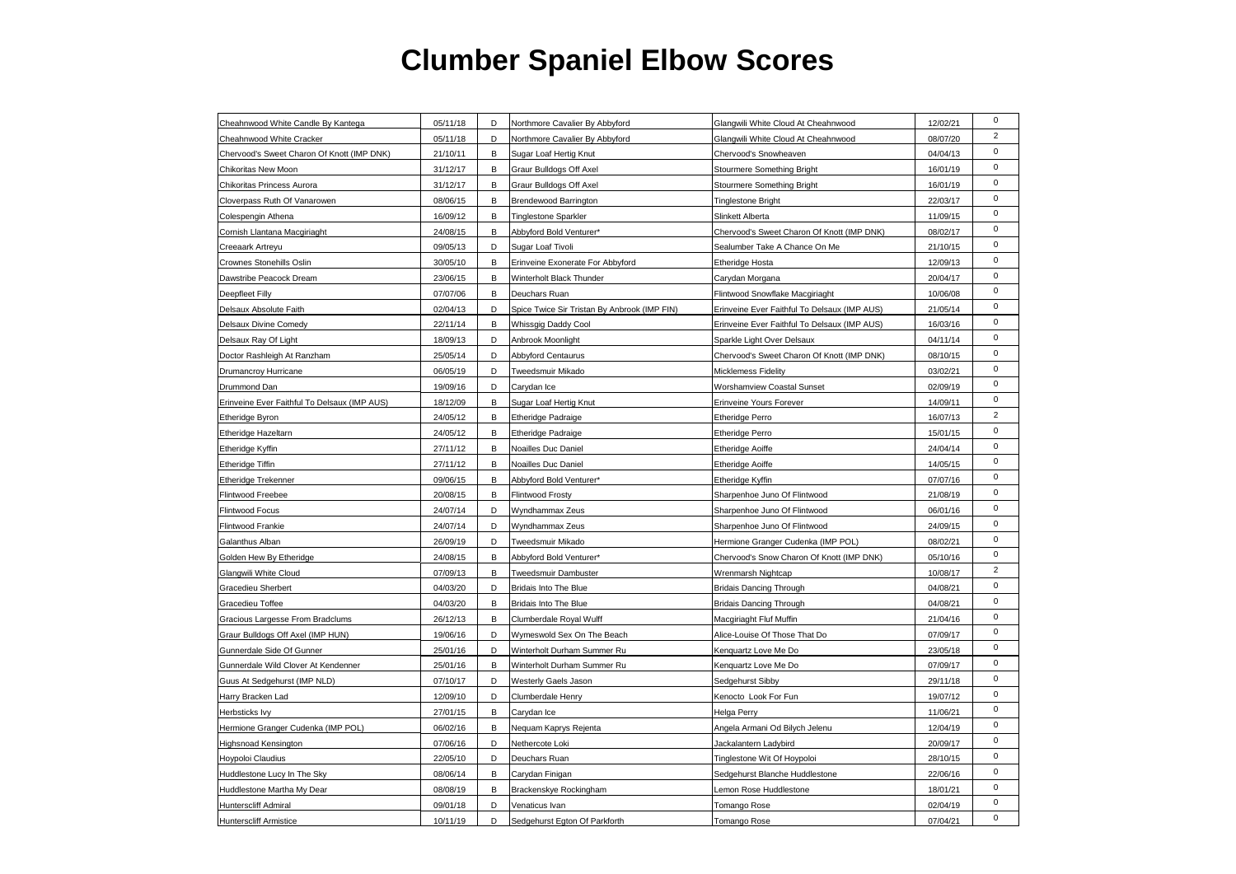| Cheahnwood White Candle By Kantega           | 05/11/18 | D | Northmore Cavalier By Abbyford               | Glangwili White Cloud At Cheahnwood          | 12/02/21 | $\mathbf 0$    |
|----------------------------------------------|----------|---|----------------------------------------------|----------------------------------------------|----------|----------------|
| Cheahnwood White Cracker                     | 05/11/18 | D | Northmore Cavalier By Abbyford               | Glangwili White Cloud At Cheahnwood          | 08/07/20 | $\overline{2}$ |
| Chervood's Sweet Charon Of Knott (IMP DNK)   | 21/10/11 | В | Sugar Loaf Hertig Knut                       | Chervood's Snowheaven                        | 04/04/13 | $\mathbf 0$    |
| Chikoritas New Moon                          | 31/12/17 | B | Graur Bulldogs Off Axel                      | Stourmere Something Bright                   | 16/01/19 | $\mathbf 0$    |
| Chikoritas Princess Aurora                   | 31/12/17 | В | Graur Bulldogs Off Axel                      | Stourmere Something Bright                   | 16/01/19 | $\pmb{0}$      |
| Cloverpass Ruth Of Vanarowen                 | 08/06/15 | В | Brendewood Barrington                        | <b>Tinglestone Bright</b>                    | 22/03/17 | $\pmb{0}$      |
| Colespengin Athena                           | 16/09/12 | В | <b>Tinglestone Sparkler</b>                  | Slinkett Alberta                             | 11/09/15 | $\pmb{0}$      |
| Cornish Llantana Macgiriaght                 | 24/08/15 | В | Abbyford Bold Venturer*                      | Chervood's Sweet Charon Of Knott (IMP DNK)   | 08/02/17 | $\mathbf 0$    |
| Creeaark Artreyu                             | 09/05/13 | D | Sugar Loaf Tivoli                            | Sealumber Take A Chance On Me                | 21/10/15 | $\pmb{0}$      |
| Crownes Stonehills Oslin                     | 30/05/10 | В | Erinveine Exonerate For Abbyford             | Etheridge Hosta                              | 12/09/13 | $\mathsf 0$    |
| Dawstribe Peacock Dream                      | 23/06/15 | В | Winterholt Black Thunder                     | Carydan Morgana                              | 20/04/17 | $\mathsf 0$    |
| Deepfleet Filly                              | 07/07/06 | В | Deuchars Ruan                                | Flintwood Snowflake Macgiriaght              | 10/06/08 | $\mathsf 0$    |
| Delsaux Absolute Faith                       | 02/04/13 | D | Spice Twice Sir Tristan By Anbrook (IMP FIN) | Erinveine Ever Faithful To Delsaux (IMP AUS) | 21/05/14 | $\pmb{0}$      |
| Delsaux Divine Comedy                        | 22/11/14 | В | Whissgig Daddy Cool                          | Erinveine Ever Faithful To Delsaux (IMP AUS) | 16/03/16 | $\mathsf 0$    |
| Delsaux Ray Of Light                         | 18/09/13 | D | Anbrook Moonlight                            | Sparkle Light Over Delsaux                   | 04/11/14 | $\mathsf 0$    |
| Doctor Rashleigh At Ranzham                  | 25/05/14 | D | Abbyford Centaurus                           | Chervood's Sweet Charon Of Knott (IMP DNK)   | 08/10/15 | $\mathbf 0$    |
| Drumancroy Hurricane                         | 06/05/19 | D | Tweedsmuir Mikado                            | <b>Micklemess Fidelity</b>                   | 03/02/21 | $\mathbf 0$    |
| Drummond Dan                                 | 19/09/16 | D | Carydan Ice                                  | Worshamview Coastal Sunset                   | 02/09/19 | $\pmb{0}$      |
| Erinveine Ever Faithful To Delsaux (IMP AUS) | 18/12/09 | в | Sugar Loaf Hertig Knut                       | Erinveine Yours Forever                      | 14/09/11 | $\mathbf 0$    |
| Etheridge Byron                              | 24/05/12 | В | Etheridge Padraige                           | <b>Etheridge Perro</b>                       | 16/07/13 | $\overline{2}$ |
| Etheridge Hazeltarn                          | 24/05/12 | В | Etheridge Padraige                           | <b>Etheridge Perro</b>                       | 15/01/15 | $\pmb{0}$      |
| Etheridge Kyffin                             | 27/11/12 | В | Noailles Duc Daniel                          | <b>Etheridge Aoiffe</b>                      | 24/04/14 | $\pmb{0}$      |
| Etheridge Tiffin                             | 27/11/12 | B | Noailles Duc Daniel                          | <b>Etheridge Aoiffe</b>                      | 14/05/15 | $\mathbf 0$    |
| Etheridge Trekenner                          | 09/06/15 | В | Abbyford Bold Venturer*                      | Etheridge Kyffin                             | 07/07/16 | $\pmb{0}$      |
| Flintwood Freebee                            | 20/08/15 | В | Flintwood Frosty                             | Sharpenhoe Juno Of Flintwood                 | 21/08/19 | $\pmb{0}$      |
| Flintwood Focus                              | 24/07/14 | D | Wyndhammax Zeus                              | Sharpenhoe Juno Of Flintwood                 | 06/01/16 | $\pmb{0}$      |
| Flintwood Frankie                            | 24/07/14 | D | Wyndhammax Zeus                              | Sharpenhoe Juno Of Flintwood                 | 24/09/15 | $\pmb{0}$      |
| Galanthus Alban                              | 26/09/19 | D | Tweedsmuir Mikado                            | Hermione Granger Cudenka (IMP POL)           | 08/02/21 | $\pmb{0}$      |
| Golden Hew By Etheridge                      | 24/08/15 | B | Abbyford Bold Venturer*                      | Chervood's Snow Charon Of Knott (IMP DNK)    | 05/10/16 | $\mathsf 0$    |
| Glangwili White Cloud                        | 07/09/13 | B | Tweedsmuir Dambuster                         | Wrenmarsh Nightcap                           | 10/08/17 | $\overline{2}$ |
| Gracedieu Sherbert                           | 04/03/20 | D | Bridais Into The Blue                        | <b>Bridais Dancing Through</b>               | 04/08/21 | $\mathbf 0$    |
| Gracedieu Toffee                             | 04/03/20 | В | Bridais Into The Blue                        | <b>Bridais Dancing Through</b>               | 04/08/21 | $\mathsf 0$    |
| Gracious Largesse From Bradclums             | 26/12/13 | В | Clumberdale Royal Wulff                      | Macgiriaght Fluf Muffin                      | 21/04/16 | $\mathsf 0$    |
| Graur Bulldogs Off Axel (IMP HUN)            | 19/06/16 | D | Wymeswold Sex On The Beach                   | Alice-Louise Of Those That Do                | 07/09/17 | $\mathsf 0$    |
| Gunnerdale Side Of Gunner                    | 25/01/16 | D | Winterholt Durham Summer Ru                  | Kenquartz Love Me Do                         | 23/05/18 | $\pmb{0}$      |
| Gunnerdale Wild Clover At Kendenner          | 25/01/16 | В | Winterholt Durham Summer Ru                  | Kenquartz Love Me Do                         | 07/09/17 | $\mathsf 0$    |
| Guus At Sedgehurst (IMP NLD)                 | 07/10/17 | D | <b>Westerly Gaels Jason</b>                  | Sedgehurst Sibby                             | 29/11/18 | $\mathbf 0$    |
| Harry Bracken Lad                            | 12/09/10 | D | Clumberdale Henry                            | Kenocto Look For Fun                         | 19/07/12 | $\pmb{0}$      |
| Herbsticks lvy                               | 27/01/15 | В | Carydan Ice                                  | Helga Perry                                  | 11/06/21 | $\mathbf 0$    |
| Hermione Granger Cudenka (IMP POL)           | 06/02/16 | В | Nequam Kaprys Rejenta                        | Angela Armani Od Bilych Jelenu               | 12/04/19 | $\mathsf 0$    |
| Highsnoad Kensington                         | 07/06/16 | D | Nethercote Loki                              | Jackalantern Ladybird                        | 20/09/17 | $\mathbf 0$    |
| Hoypoloi Claudius                            | 22/05/10 | D | Deuchars Ruan                                | Tinglestone Wit Of Hoypoloi                  | 28/10/15 | $\mathbf 0$    |
| Huddlestone Lucy In The Sky                  | 08/06/14 | В | Carydan Finigan                              | Sedgehurst Blanche Huddlestone               | 22/06/16 | $\mathbf 0$    |
| Huddlestone Martha My Dear                   | 08/08/19 | В | Brackenskye Rockingham                       | Lemon Rose Huddlestone                       | 18/01/21 | $\pmb{0}$      |
| Hunterscliff Admiral                         | 09/01/18 | D | Venaticus Ivan                               | Tomango Rose                                 | 02/04/19 | $\pmb{0}$      |
| <b>Hunterscliff Armistice</b>                | 10/11/19 | D | Sedgehurst Egton Of Parkforth                | Tomango Rose                                 | 07/04/21 | $\mathbf 0$    |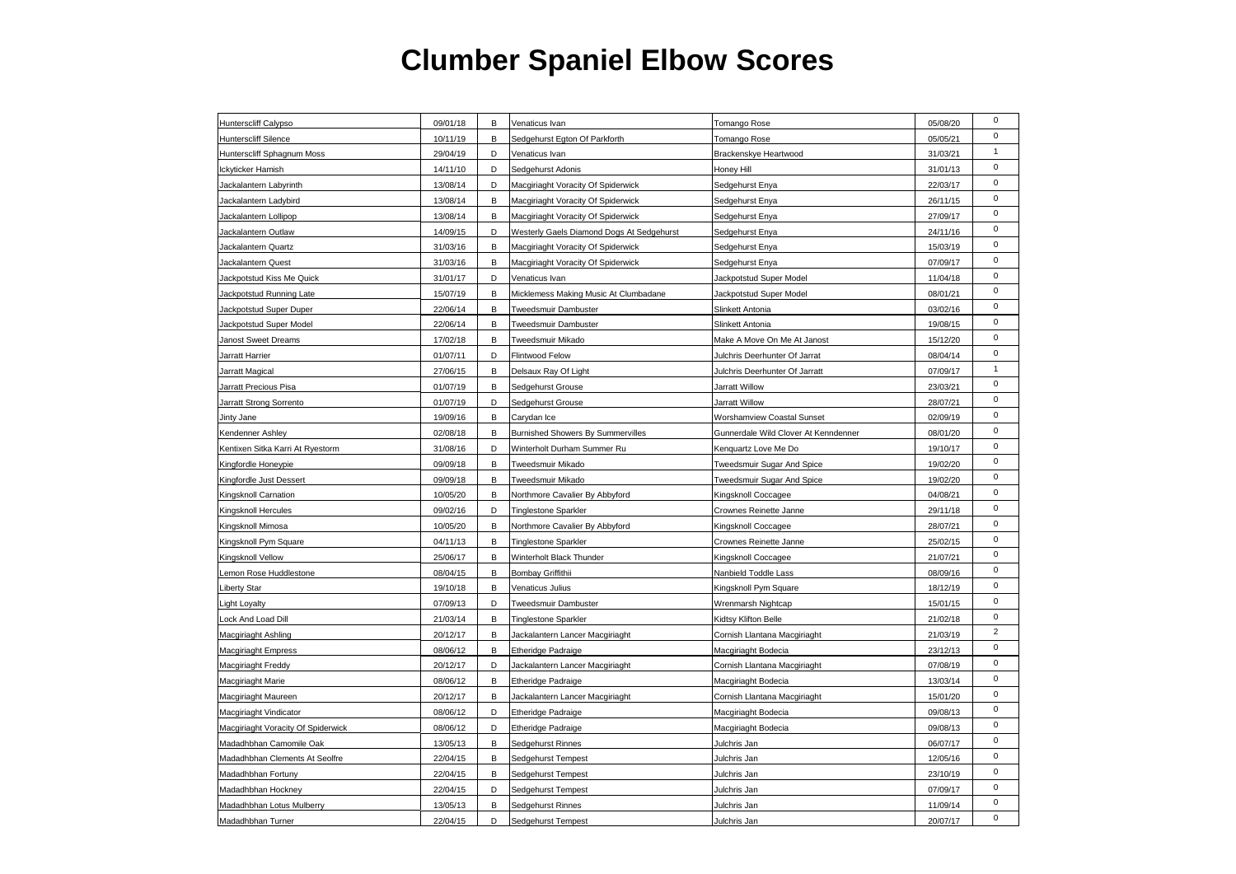| $\mathbf 0$<br>05/05/21<br>Hunterscliff Silence<br>10/11/19<br>В<br>Sedgehurst Egton Of Parkforth<br>Tomango Rose<br>$\mathbf{1}$<br>29/04/19<br>Hunterscliff Sphagnum Moss<br>D<br>Venaticus Ivan<br>Brackenskye Heartwood<br>31/03/21<br>$\pmb{0}$<br>14/11/10<br>D<br>31/01/13<br>Ickyticker Hamish<br>Sedgehurst Adonis<br>Honey Hill<br>$\pmb{0}$<br>Jackalantern Labyrinth<br>13/08/14<br>D<br>Macgiriaght Voracity Of Spiderwick<br>Sedgehurst Enya<br>22/03/17<br>$\pmb{0}$<br>Jackalantern Ladybird<br>13/08/14<br>в<br>Macgiriaght Voracity Of Spiderwick<br>Sedgehurst Enya<br>26/11/15<br>$\mathbf 0$<br>Jackalantern Lollipop<br>13/08/14<br>Macgiriaght Voracity Of Spiderwick<br>Sedgehurst Enya<br>27/09/17<br>В<br>$\pmb{0}$<br>Jackalantern Outlaw<br>14/09/15<br>D<br>Westerly Gaels Diamond Dogs At Sedgehurst<br>24/11/16<br>Sedgehurst Enya<br>$\mathbf 0$<br>Jackalantern Quartz<br>31/03/16<br>В<br>Macgiriaght Voracity Of Spiderwick<br>15/03/19<br>Sedgehurst Enya<br>$\pmb{0}$<br>31/03/16<br>07/09/17<br>Jackalantern Quest<br>В<br>Macgiriaght Voracity Of Spiderwick<br>Sedgehurst Enya<br>$\mathbf 0$<br>Jackpotstud Kiss Me Quick<br>31/01/17<br>D<br>Venaticus Ivan<br>Jackpotstud Super Model<br>11/04/18<br>$\pmb{0}$<br>15/07/19<br>В<br>08/01/21<br>Jackpotstud Running Late<br>Micklemess Making Music At Clumbadane<br>Jackpotstud Super Model<br>$\pmb{0}$<br>Jackpotstud Super Duper<br>22/06/14<br>B<br>Tweedsmuir Dambuster<br>Slinkett Antonia<br>03/02/16<br>$\pmb{0}$<br>В<br>22/06/14<br>Tweedsmuir Dambuster<br>19/08/15<br>Jackpotstud Super Model<br>Slinkett Antonia<br>$\mathbf 0$<br>Janost Sweet Dreams<br>17/02/18<br>В<br>Tweedsmuir Mikado<br>Make A Move On Me At Janost<br>15/12/20<br>$\pmb{0}$<br>01/07/11<br>D<br>08/04/14<br>Jarratt Harrier<br>Flintwood Felow<br>Julchris Deerhunter Of Jarrat<br>$\mathbf{1}$<br>Jarratt Magical<br>27/06/15<br>В<br>Julchris Deerhunter Of Jarratt<br>07/09/17<br>Delsaux Ray Of Light<br>$\pmb{0}$<br>01/07/19<br>23/03/21<br>Jarratt Precious Pisa<br>В<br>Sedgehurst Grouse<br>Jarratt Willow<br>$\mathbf 0$<br>Jarratt Strong Sorrento<br>01/07/19<br>D<br>Sedgehurst Grouse<br>Jarratt Willow<br>28/07/21<br>$\pmb{0}$<br>19/09/16<br>в<br>02/09/19<br>Jinty Jane<br>Carydan Ice<br>Worshamview Coastal Sunset<br>$\mathsf 0$<br>02/08/18<br>Gunnerdale Wild Clover At Kenndenner<br>08/01/20<br>Kendenner Ashley<br>В<br><b>Burnished Showers By Summervilles</b><br>$\mathsf 0$<br>31/08/16<br>D<br>Winterholt Durham Summer Ru<br>19/10/17<br>Kentixen Sitka Karri At Ryestorm<br>Kenquartz Love Me Do<br>$\pmb{0}$<br>09/09/18<br>В<br>19/02/20<br>Kingfordle Honeypie<br>Tweedsmuir Mikado<br>Tweedsmuir Sugar And Spice<br>$\mathbf 0$<br>09/09/18<br>B<br>19/02/20<br>Kingfordle Just Dessert<br>Tweedsmuir Mikado<br>Tweedsmuir Sugar And Spice<br>$\mathbf 0$<br>10/05/20<br>В<br>Kingsknoll Coccagee<br>04/08/21<br>Kingsknoll Carnation<br>Northmore Cavalier By Abbyford<br>$\mathsf 0$<br>Kingsknoll Hercules<br>09/02/16<br>D<br><b>Tinglestone Sparkler</b><br>Crownes Reinette Janne<br>29/11/18<br>$\pmb{0}$<br>10/05/20<br>B<br>28/07/21<br>Kingsknoll Mimosa<br>Northmore Cavalier By Abbyford<br>Kingsknoll Coccagee<br>$\mathbf 0$<br>25/02/15<br>Kingsknoll Pym Square<br>04/11/13<br>В<br>Tinglestone Sparkler<br>Crownes Reinette Janne<br>$\mathbf 0$<br>21/07/21<br>Kingsknoll Vellow<br>25/06/17<br>В<br>Winterholt Black Thunder<br>Kingsknoll Coccagee<br>$\mathsf 0$<br>08/04/15<br>В<br>08/09/16<br>Lemon Rose Huddlestone<br>Bombay Griffithii<br>Nanbield Toddle Lass<br>$\pmb{0}$<br>19/10/18<br>18/12/19<br><b>Liberty Star</b><br>B<br>Venaticus Julius<br>Kingsknoll Pym Square<br>$\pmb{0}$<br><b>Light Loyalty</b><br>07/09/13<br>D<br>Tweedsmuir Dambuster<br>Wrenmarsh Nightcap<br>15/01/15<br>$\pmb{0}$<br>21/03/14<br>В<br>21/02/18<br>Lock And Load Dill<br><b>Tinglestone Sparkler</b><br>Kidtsy Klifton Belle<br>$\overline{2}$<br>20/12/17<br>B<br>Cornish Llantana Macgiriaght<br>21/03/19<br>Macgiriaght Ashling<br>Jackalantern Lancer Macgiriaght<br>$\pmb{0}$<br>B<br><b>Macgiriaght Empress</b><br>08/06/12<br><b>Etheridge Padraige</b><br>Macqiriaght Bodecia<br>23/12/13<br>$\mathbf 0$<br>07/08/19<br>Macgiriaght Freddy<br>20/12/17<br>D<br>Jackalantern Lancer Macgiriaght<br>Cornish Llantana Macgiriaght<br>$\pmb{0}$<br>13/03/14<br>Macgiriaght Marie<br>08/06/12<br>В<br><b>Etheridge Padraige</b><br>Macgiriaght Bodecia<br>$\mathbf 0$<br>20/12/17<br>В<br>Cornish Llantana Macgiriaght<br>15/01/20<br>Macgiriaght Maureen<br>Jackalantern Lancer Macgiriaght<br>$\pmb{0}$<br>08/06/12<br>Macgiriaght Bodecia<br>09/08/13<br>Macgiriaght Vindicator<br>D<br><b>Etheridge Padraige</b><br>$\pmb{0}$<br>Macgiriaght Voracity Of Spiderwick<br>08/06/12<br>D<br>Macgiriaght Bodecia<br>09/08/13<br><b>Etheridge Padraige</b><br>$\pmb{0}$<br>13/05/13<br>06/07/17<br>Madadhbhan Camomile Oak<br>В<br>Sedgehurst Rinnes<br>Julchris Jan<br>$\mathbf 0$<br>22/04/15<br>Julchris Jan<br>12/05/16<br>Madadhbhan Clements At Seolfre<br>В<br>Sedgehurst Tempest<br>$\pmb{0}$<br>В<br>Madadhbhan Fortuny<br>22/04/15<br>Sedgehurst Tempest<br>Julchris Jan<br>23/10/19<br>$\pmb{0}$<br>Madadhbhan Hockney<br>22/04/15<br>D<br>Sedgehurst Tempest<br>Julchris Jan<br>07/09/17<br>$\pmb{0}$<br>Madadhbhan Lotus Mulberry<br>13/05/13<br>B<br>Sedgehurst Rinnes<br>Julchris Jan<br>11/09/14<br>$\mathbf 0$<br>Madadhbhan Turner<br>22/04/15<br>Julchris Jan<br>20/07/17<br>D<br>Sedgehurst Tempest | Hunterscliff Calypso | 09/01/18 | B | Venaticus Ivan | Tomango Rose | 05/08/20 | $\mathbf 0$ |
|------------------------------------------------------------------------------------------------------------------------------------------------------------------------------------------------------------------------------------------------------------------------------------------------------------------------------------------------------------------------------------------------------------------------------------------------------------------------------------------------------------------------------------------------------------------------------------------------------------------------------------------------------------------------------------------------------------------------------------------------------------------------------------------------------------------------------------------------------------------------------------------------------------------------------------------------------------------------------------------------------------------------------------------------------------------------------------------------------------------------------------------------------------------------------------------------------------------------------------------------------------------------------------------------------------------------------------------------------------------------------------------------------------------------------------------------------------------------------------------------------------------------------------------------------------------------------------------------------------------------------------------------------------------------------------------------------------------------------------------------------------------------------------------------------------------------------------------------------------------------------------------------------------------------------------------------------------------------------------------------------------------------------------------------------------------------------------------------------------------------------------------------------------------------------------------------------------------------------------------------------------------------------------------------------------------------------------------------------------------------------------------------------------------------------------------------------------------------------------------------------------------------------------------------------------------------------------------------------------------------------------------------------------------------------------------------------------------------------------------------------------------------------------------------------------------------------------------------------------------------------------------------------------------------------------------------------------------------------------------------------------------------------------------------------------------------------------------------------------------------------------------------------------------------------------------------------------------------------------------------------------------------------------------------------------------------------------------------------------------------------------------------------------------------------------------------------------------------------------------------------------------------------------------------------------------------------------------------------------------------------------------------------------------------------------------------------------------------------------------------------------------------------------------------------------------------------------------------------------------------------------------------------------------------------------------------------------------------------------------------------------------------------------------------------------------------------------------------------------------------------------------------------------------------------------------------------------------------------------------------------------------------------------------------------------------------------------------------------------------------------------------------------------------------------------------------------------------------------------------------------------------------------------------------------------------------------------------------------------------------------------------------------------------------------------------------------------------------------------------------------------------------------------------------------------------------------------------------------------------------------------------------------------------------------------------------------------------------------------------------------------------------------------------------------------------------------------------------------------------------------------------------------------------------------------------------------------------------------------------------------------------------------------------------------------------------------------------------------------------------------------------------------------------------------------------------------------------------------------------------------------------------------------------------------------------|----------------------|----------|---|----------------|--------------|----------|-------------|
|                                                                                                                                                                                                                                                                                                                                                                                                                                                                                                                                                                                                                                                                                                                                                                                                                                                                                                                                                                                                                                                                                                                                                                                                                                                                                                                                                                                                                                                                                                                                                                                                                                                                                                                                                                                                                                                                                                                                                                                                                                                                                                                                                                                                                                                                                                                                                                                                                                                                                                                                                                                                                                                                                                                                                                                                                                                                                                                                                                                                                                                                                                                                                                                                                                                                                                                                                                                                                                                                                                                                                                                                                                                                                                                                                                                                                                                                                                                                                                                                                                                                                                                                                                                                                                                                                                                                                                                                                                                                                                                                                                                                                                                                                                                                                                                                                                                                                                                                                                                                                                                                                                                                                                                                                                                                                                                                                                                                                                                                                                                                                                  |                      |          |   |                |              |          |             |
|                                                                                                                                                                                                                                                                                                                                                                                                                                                                                                                                                                                                                                                                                                                                                                                                                                                                                                                                                                                                                                                                                                                                                                                                                                                                                                                                                                                                                                                                                                                                                                                                                                                                                                                                                                                                                                                                                                                                                                                                                                                                                                                                                                                                                                                                                                                                                                                                                                                                                                                                                                                                                                                                                                                                                                                                                                                                                                                                                                                                                                                                                                                                                                                                                                                                                                                                                                                                                                                                                                                                                                                                                                                                                                                                                                                                                                                                                                                                                                                                                                                                                                                                                                                                                                                                                                                                                                                                                                                                                                                                                                                                                                                                                                                                                                                                                                                                                                                                                                                                                                                                                                                                                                                                                                                                                                                                                                                                                                                                                                                                                                  |                      |          |   |                |              |          |             |
|                                                                                                                                                                                                                                                                                                                                                                                                                                                                                                                                                                                                                                                                                                                                                                                                                                                                                                                                                                                                                                                                                                                                                                                                                                                                                                                                                                                                                                                                                                                                                                                                                                                                                                                                                                                                                                                                                                                                                                                                                                                                                                                                                                                                                                                                                                                                                                                                                                                                                                                                                                                                                                                                                                                                                                                                                                                                                                                                                                                                                                                                                                                                                                                                                                                                                                                                                                                                                                                                                                                                                                                                                                                                                                                                                                                                                                                                                                                                                                                                                                                                                                                                                                                                                                                                                                                                                                                                                                                                                                                                                                                                                                                                                                                                                                                                                                                                                                                                                                                                                                                                                                                                                                                                                                                                                                                                                                                                                                                                                                                                                                  |                      |          |   |                |              |          |             |
|                                                                                                                                                                                                                                                                                                                                                                                                                                                                                                                                                                                                                                                                                                                                                                                                                                                                                                                                                                                                                                                                                                                                                                                                                                                                                                                                                                                                                                                                                                                                                                                                                                                                                                                                                                                                                                                                                                                                                                                                                                                                                                                                                                                                                                                                                                                                                                                                                                                                                                                                                                                                                                                                                                                                                                                                                                                                                                                                                                                                                                                                                                                                                                                                                                                                                                                                                                                                                                                                                                                                                                                                                                                                                                                                                                                                                                                                                                                                                                                                                                                                                                                                                                                                                                                                                                                                                                                                                                                                                                                                                                                                                                                                                                                                                                                                                                                                                                                                                                                                                                                                                                                                                                                                                                                                                                                                                                                                                                                                                                                                                                  |                      |          |   |                |              |          |             |
|                                                                                                                                                                                                                                                                                                                                                                                                                                                                                                                                                                                                                                                                                                                                                                                                                                                                                                                                                                                                                                                                                                                                                                                                                                                                                                                                                                                                                                                                                                                                                                                                                                                                                                                                                                                                                                                                                                                                                                                                                                                                                                                                                                                                                                                                                                                                                                                                                                                                                                                                                                                                                                                                                                                                                                                                                                                                                                                                                                                                                                                                                                                                                                                                                                                                                                                                                                                                                                                                                                                                                                                                                                                                                                                                                                                                                                                                                                                                                                                                                                                                                                                                                                                                                                                                                                                                                                                                                                                                                                                                                                                                                                                                                                                                                                                                                                                                                                                                                                                                                                                                                                                                                                                                                                                                                                                                                                                                                                                                                                                                                                  |                      |          |   |                |              |          |             |
|                                                                                                                                                                                                                                                                                                                                                                                                                                                                                                                                                                                                                                                                                                                                                                                                                                                                                                                                                                                                                                                                                                                                                                                                                                                                                                                                                                                                                                                                                                                                                                                                                                                                                                                                                                                                                                                                                                                                                                                                                                                                                                                                                                                                                                                                                                                                                                                                                                                                                                                                                                                                                                                                                                                                                                                                                                                                                                                                                                                                                                                                                                                                                                                                                                                                                                                                                                                                                                                                                                                                                                                                                                                                                                                                                                                                                                                                                                                                                                                                                                                                                                                                                                                                                                                                                                                                                                                                                                                                                                                                                                                                                                                                                                                                                                                                                                                                                                                                                                                                                                                                                                                                                                                                                                                                                                                                                                                                                                                                                                                                                                  |                      |          |   |                |              |          |             |
|                                                                                                                                                                                                                                                                                                                                                                                                                                                                                                                                                                                                                                                                                                                                                                                                                                                                                                                                                                                                                                                                                                                                                                                                                                                                                                                                                                                                                                                                                                                                                                                                                                                                                                                                                                                                                                                                                                                                                                                                                                                                                                                                                                                                                                                                                                                                                                                                                                                                                                                                                                                                                                                                                                                                                                                                                                                                                                                                                                                                                                                                                                                                                                                                                                                                                                                                                                                                                                                                                                                                                                                                                                                                                                                                                                                                                                                                                                                                                                                                                                                                                                                                                                                                                                                                                                                                                                                                                                                                                                                                                                                                                                                                                                                                                                                                                                                                                                                                                                                                                                                                                                                                                                                                                                                                                                                                                                                                                                                                                                                                                                  |                      |          |   |                |              |          |             |
|                                                                                                                                                                                                                                                                                                                                                                                                                                                                                                                                                                                                                                                                                                                                                                                                                                                                                                                                                                                                                                                                                                                                                                                                                                                                                                                                                                                                                                                                                                                                                                                                                                                                                                                                                                                                                                                                                                                                                                                                                                                                                                                                                                                                                                                                                                                                                                                                                                                                                                                                                                                                                                                                                                                                                                                                                                                                                                                                                                                                                                                                                                                                                                                                                                                                                                                                                                                                                                                                                                                                                                                                                                                                                                                                                                                                                                                                                                                                                                                                                                                                                                                                                                                                                                                                                                                                                                                                                                                                                                                                                                                                                                                                                                                                                                                                                                                                                                                                                                                                                                                                                                                                                                                                                                                                                                                                                                                                                                                                                                                                                                  |                      |          |   |                |              |          |             |
|                                                                                                                                                                                                                                                                                                                                                                                                                                                                                                                                                                                                                                                                                                                                                                                                                                                                                                                                                                                                                                                                                                                                                                                                                                                                                                                                                                                                                                                                                                                                                                                                                                                                                                                                                                                                                                                                                                                                                                                                                                                                                                                                                                                                                                                                                                                                                                                                                                                                                                                                                                                                                                                                                                                                                                                                                                                                                                                                                                                                                                                                                                                                                                                                                                                                                                                                                                                                                                                                                                                                                                                                                                                                                                                                                                                                                                                                                                                                                                                                                                                                                                                                                                                                                                                                                                                                                                                                                                                                                                                                                                                                                                                                                                                                                                                                                                                                                                                                                                                                                                                                                                                                                                                                                                                                                                                                                                                                                                                                                                                                                                  |                      |          |   |                |              |          |             |
|                                                                                                                                                                                                                                                                                                                                                                                                                                                                                                                                                                                                                                                                                                                                                                                                                                                                                                                                                                                                                                                                                                                                                                                                                                                                                                                                                                                                                                                                                                                                                                                                                                                                                                                                                                                                                                                                                                                                                                                                                                                                                                                                                                                                                                                                                                                                                                                                                                                                                                                                                                                                                                                                                                                                                                                                                                                                                                                                                                                                                                                                                                                                                                                                                                                                                                                                                                                                                                                                                                                                                                                                                                                                                                                                                                                                                                                                                                                                                                                                                                                                                                                                                                                                                                                                                                                                                                                                                                                                                                                                                                                                                                                                                                                                                                                                                                                                                                                                                                                                                                                                                                                                                                                                                                                                                                                                                                                                                                                                                                                                                                  |                      |          |   |                |              |          |             |
|                                                                                                                                                                                                                                                                                                                                                                                                                                                                                                                                                                                                                                                                                                                                                                                                                                                                                                                                                                                                                                                                                                                                                                                                                                                                                                                                                                                                                                                                                                                                                                                                                                                                                                                                                                                                                                                                                                                                                                                                                                                                                                                                                                                                                                                                                                                                                                                                                                                                                                                                                                                                                                                                                                                                                                                                                                                                                                                                                                                                                                                                                                                                                                                                                                                                                                                                                                                                                                                                                                                                                                                                                                                                                                                                                                                                                                                                                                                                                                                                                                                                                                                                                                                                                                                                                                                                                                                                                                                                                                                                                                                                                                                                                                                                                                                                                                                                                                                                                                                                                                                                                                                                                                                                                                                                                                                                                                                                                                                                                                                                                                  |                      |          |   |                |              |          |             |
|                                                                                                                                                                                                                                                                                                                                                                                                                                                                                                                                                                                                                                                                                                                                                                                                                                                                                                                                                                                                                                                                                                                                                                                                                                                                                                                                                                                                                                                                                                                                                                                                                                                                                                                                                                                                                                                                                                                                                                                                                                                                                                                                                                                                                                                                                                                                                                                                                                                                                                                                                                                                                                                                                                                                                                                                                                                                                                                                                                                                                                                                                                                                                                                                                                                                                                                                                                                                                                                                                                                                                                                                                                                                                                                                                                                                                                                                                                                                                                                                                                                                                                                                                                                                                                                                                                                                                                                                                                                                                                                                                                                                                                                                                                                                                                                                                                                                                                                                                                                                                                                                                                                                                                                                                                                                                                                                                                                                                                                                                                                                                                  |                      |          |   |                |              |          |             |
|                                                                                                                                                                                                                                                                                                                                                                                                                                                                                                                                                                                                                                                                                                                                                                                                                                                                                                                                                                                                                                                                                                                                                                                                                                                                                                                                                                                                                                                                                                                                                                                                                                                                                                                                                                                                                                                                                                                                                                                                                                                                                                                                                                                                                                                                                                                                                                                                                                                                                                                                                                                                                                                                                                                                                                                                                                                                                                                                                                                                                                                                                                                                                                                                                                                                                                                                                                                                                                                                                                                                                                                                                                                                                                                                                                                                                                                                                                                                                                                                                                                                                                                                                                                                                                                                                                                                                                                                                                                                                                                                                                                                                                                                                                                                                                                                                                                                                                                                                                                                                                                                                                                                                                                                                                                                                                                                                                                                                                                                                                                                                                  |                      |          |   |                |              |          |             |
|                                                                                                                                                                                                                                                                                                                                                                                                                                                                                                                                                                                                                                                                                                                                                                                                                                                                                                                                                                                                                                                                                                                                                                                                                                                                                                                                                                                                                                                                                                                                                                                                                                                                                                                                                                                                                                                                                                                                                                                                                                                                                                                                                                                                                                                                                                                                                                                                                                                                                                                                                                                                                                                                                                                                                                                                                                                                                                                                                                                                                                                                                                                                                                                                                                                                                                                                                                                                                                                                                                                                                                                                                                                                                                                                                                                                                                                                                                                                                                                                                                                                                                                                                                                                                                                                                                                                                                                                                                                                                                                                                                                                                                                                                                                                                                                                                                                                                                                                                                                                                                                                                                                                                                                                                                                                                                                                                                                                                                                                                                                                                                  |                      |          |   |                |              |          |             |
|                                                                                                                                                                                                                                                                                                                                                                                                                                                                                                                                                                                                                                                                                                                                                                                                                                                                                                                                                                                                                                                                                                                                                                                                                                                                                                                                                                                                                                                                                                                                                                                                                                                                                                                                                                                                                                                                                                                                                                                                                                                                                                                                                                                                                                                                                                                                                                                                                                                                                                                                                                                                                                                                                                                                                                                                                                                                                                                                                                                                                                                                                                                                                                                                                                                                                                                                                                                                                                                                                                                                                                                                                                                                                                                                                                                                                                                                                                                                                                                                                                                                                                                                                                                                                                                                                                                                                                                                                                                                                                                                                                                                                                                                                                                                                                                                                                                                                                                                                                                                                                                                                                                                                                                                                                                                                                                                                                                                                                                                                                                                                                  |                      |          |   |                |              |          |             |
|                                                                                                                                                                                                                                                                                                                                                                                                                                                                                                                                                                                                                                                                                                                                                                                                                                                                                                                                                                                                                                                                                                                                                                                                                                                                                                                                                                                                                                                                                                                                                                                                                                                                                                                                                                                                                                                                                                                                                                                                                                                                                                                                                                                                                                                                                                                                                                                                                                                                                                                                                                                                                                                                                                                                                                                                                                                                                                                                                                                                                                                                                                                                                                                                                                                                                                                                                                                                                                                                                                                                                                                                                                                                                                                                                                                                                                                                                                                                                                                                                                                                                                                                                                                                                                                                                                                                                                                                                                                                                                                                                                                                                                                                                                                                                                                                                                                                                                                                                                                                                                                                                                                                                                                                                                                                                                                                                                                                                                                                                                                                                                  |                      |          |   |                |              |          |             |
|                                                                                                                                                                                                                                                                                                                                                                                                                                                                                                                                                                                                                                                                                                                                                                                                                                                                                                                                                                                                                                                                                                                                                                                                                                                                                                                                                                                                                                                                                                                                                                                                                                                                                                                                                                                                                                                                                                                                                                                                                                                                                                                                                                                                                                                                                                                                                                                                                                                                                                                                                                                                                                                                                                                                                                                                                                                                                                                                                                                                                                                                                                                                                                                                                                                                                                                                                                                                                                                                                                                                                                                                                                                                                                                                                                                                                                                                                                                                                                                                                                                                                                                                                                                                                                                                                                                                                                                                                                                                                                                                                                                                                                                                                                                                                                                                                                                                                                                                                                                                                                                                                                                                                                                                                                                                                                                                                                                                                                                                                                                                                                  |                      |          |   |                |              |          |             |
|                                                                                                                                                                                                                                                                                                                                                                                                                                                                                                                                                                                                                                                                                                                                                                                                                                                                                                                                                                                                                                                                                                                                                                                                                                                                                                                                                                                                                                                                                                                                                                                                                                                                                                                                                                                                                                                                                                                                                                                                                                                                                                                                                                                                                                                                                                                                                                                                                                                                                                                                                                                                                                                                                                                                                                                                                                                                                                                                                                                                                                                                                                                                                                                                                                                                                                                                                                                                                                                                                                                                                                                                                                                                                                                                                                                                                                                                                                                                                                                                                                                                                                                                                                                                                                                                                                                                                                                                                                                                                                                                                                                                                                                                                                                                                                                                                                                                                                                                                                                                                                                                                                                                                                                                                                                                                                                                                                                                                                                                                                                                                                  |                      |          |   |                |              |          |             |
|                                                                                                                                                                                                                                                                                                                                                                                                                                                                                                                                                                                                                                                                                                                                                                                                                                                                                                                                                                                                                                                                                                                                                                                                                                                                                                                                                                                                                                                                                                                                                                                                                                                                                                                                                                                                                                                                                                                                                                                                                                                                                                                                                                                                                                                                                                                                                                                                                                                                                                                                                                                                                                                                                                                                                                                                                                                                                                                                                                                                                                                                                                                                                                                                                                                                                                                                                                                                                                                                                                                                                                                                                                                                                                                                                                                                                                                                                                                                                                                                                                                                                                                                                                                                                                                                                                                                                                                                                                                                                                                                                                                                                                                                                                                                                                                                                                                                                                                                                                                                                                                                                                                                                                                                                                                                                                                                                                                                                                                                                                                                                                  |                      |          |   |                |              |          |             |
|                                                                                                                                                                                                                                                                                                                                                                                                                                                                                                                                                                                                                                                                                                                                                                                                                                                                                                                                                                                                                                                                                                                                                                                                                                                                                                                                                                                                                                                                                                                                                                                                                                                                                                                                                                                                                                                                                                                                                                                                                                                                                                                                                                                                                                                                                                                                                                                                                                                                                                                                                                                                                                                                                                                                                                                                                                                                                                                                                                                                                                                                                                                                                                                                                                                                                                                                                                                                                                                                                                                                                                                                                                                                                                                                                                                                                                                                                                                                                                                                                                                                                                                                                                                                                                                                                                                                                                                                                                                                                                                                                                                                                                                                                                                                                                                                                                                                                                                                                                                                                                                                                                                                                                                                                                                                                                                                                                                                                                                                                                                                                                  |                      |          |   |                |              |          |             |
|                                                                                                                                                                                                                                                                                                                                                                                                                                                                                                                                                                                                                                                                                                                                                                                                                                                                                                                                                                                                                                                                                                                                                                                                                                                                                                                                                                                                                                                                                                                                                                                                                                                                                                                                                                                                                                                                                                                                                                                                                                                                                                                                                                                                                                                                                                                                                                                                                                                                                                                                                                                                                                                                                                                                                                                                                                                                                                                                                                                                                                                                                                                                                                                                                                                                                                                                                                                                                                                                                                                                                                                                                                                                                                                                                                                                                                                                                                                                                                                                                                                                                                                                                                                                                                                                                                                                                                                                                                                                                                                                                                                                                                                                                                                                                                                                                                                                                                                                                                                                                                                                                                                                                                                                                                                                                                                                                                                                                                                                                                                                                                  |                      |          |   |                |              |          |             |
|                                                                                                                                                                                                                                                                                                                                                                                                                                                                                                                                                                                                                                                                                                                                                                                                                                                                                                                                                                                                                                                                                                                                                                                                                                                                                                                                                                                                                                                                                                                                                                                                                                                                                                                                                                                                                                                                                                                                                                                                                                                                                                                                                                                                                                                                                                                                                                                                                                                                                                                                                                                                                                                                                                                                                                                                                                                                                                                                                                                                                                                                                                                                                                                                                                                                                                                                                                                                                                                                                                                                                                                                                                                                                                                                                                                                                                                                                                                                                                                                                                                                                                                                                                                                                                                                                                                                                                                                                                                                                                                                                                                                                                                                                                                                                                                                                                                                                                                                                                                                                                                                                                                                                                                                                                                                                                                                                                                                                                                                                                                                                                  |                      |          |   |                |              |          |             |
|                                                                                                                                                                                                                                                                                                                                                                                                                                                                                                                                                                                                                                                                                                                                                                                                                                                                                                                                                                                                                                                                                                                                                                                                                                                                                                                                                                                                                                                                                                                                                                                                                                                                                                                                                                                                                                                                                                                                                                                                                                                                                                                                                                                                                                                                                                                                                                                                                                                                                                                                                                                                                                                                                                                                                                                                                                                                                                                                                                                                                                                                                                                                                                                                                                                                                                                                                                                                                                                                                                                                                                                                                                                                                                                                                                                                                                                                                                                                                                                                                                                                                                                                                                                                                                                                                                                                                                                                                                                                                                                                                                                                                                                                                                                                                                                                                                                                                                                                                                                                                                                                                                                                                                                                                                                                                                                                                                                                                                                                                                                                                                  |                      |          |   |                |              |          |             |
|                                                                                                                                                                                                                                                                                                                                                                                                                                                                                                                                                                                                                                                                                                                                                                                                                                                                                                                                                                                                                                                                                                                                                                                                                                                                                                                                                                                                                                                                                                                                                                                                                                                                                                                                                                                                                                                                                                                                                                                                                                                                                                                                                                                                                                                                                                                                                                                                                                                                                                                                                                                                                                                                                                                                                                                                                                                                                                                                                                                                                                                                                                                                                                                                                                                                                                                                                                                                                                                                                                                                                                                                                                                                                                                                                                                                                                                                                                                                                                                                                                                                                                                                                                                                                                                                                                                                                                                                                                                                                                                                                                                                                                                                                                                                                                                                                                                                                                                                                                                                                                                                                                                                                                                                                                                                                                                                                                                                                                                                                                                                                                  |                      |          |   |                |              |          |             |
|                                                                                                                                                                                                                                                                                                                                                                                                                                                                                                                                                                                                                                                                                                                                                                                                                                                                                                                                                                                                                                                                                                                                                                                                                                                                                                                                                                                                                                                                                                                                                                                                                                                                                                                                                                                                                                                                                                                                                                                                                                                                                                                                                                                                                                                                                                                                                                                                                                                                                                                                                                                                                                                                                                                                                                                                                                                                                                                                                                                                                                                                                                                                                                                                                                                                                                                                                                                                                                                                                                                                                                                                                                                                                                                                                                                                                                                                                                                                                                                                                                                                                                                                                                                                                                                                                                                                                                                                                                                                                                                                                                                                                                                                                                                                                                                                                                                                                                                                                                                                                                                                                                                                                                                                                                                                                                                                                                                                                                                                                                                                                                  |                      |          |   |                |              |          |             |
|                                                                                                                                                                                                                                                                                                                                                                                                                                                                                                                                                                                                                                                                                                                                                                                                                                                                                                                                                                                                                                                                                                                                                                                                                                                                                                                                                                                                                                                                                                                                                                                                                                                                                                                                                                                                                                                                                                                                                                                                                                                                                                                                                                                                                                                                                                                                                                                                                                                                                                                                                                                                                                                                                                                                                                                                                                                                                                                                                                                                                                                                                                                                                                                                                                                                                                                                                                                                                                                                                                                                                                                                                                                                                                                                                                                                                                                                                                                                                                                                                                                                                                                                                                                                                                                                                                                                                                                                                                                                                                                                                                                                                                                                                                                                                                                                                                                                                                                                                                                                                                                                                                                                                                                                                                                                                                                                                                                                                                                                                                                                                                  |                      |          |   |                |              |          |             |
|                                                                                                                                                                                                                                                                                                                                                                                                                                                                                                                                                                                                                                                                                                                                                                                                                                                                                                                                                                                                                                                                                                                                                                                                                                                                                                                                                                                                                                                                                                                                                                                                                                                                                                                                                                                                                                                                                                                                                                                                                                                                                                                                                                                                                                                                                                                                                                                                                                                                                                                                                                                                                                                                                                                                                                                                                                                                                                                                                                                                                                                                                                                                                                                                                                                                                                                                                                                                                                                                                                                                                                                                                                                                                                                                                                                                                                                                                                                                                                                                                                                                                                                                                                                                                                                                                                                                                                                                                                                                                                                                                                                                                                                                                                                                                                                                                                                                                                                                                                                                                                                                                                                                                                                                                                                                                                                                                                                                                                                                                                                                                                  |                      |          |   |                |              |          |             |
|                                                                                                                                                                                                                                                                                                                                                                                                                                                                                                                                                                                                                                                                                                                                                                                                                                                                                                                                                                                                                                                                                                                                                                                                                                                                                                                                                                                                                                                                                                                                                                                                                                                                                                                                                                                                                                                                                                                                                                                                                                                                                                                                                                                                                                                                                                                                                                                                                                                                                                                                                                                                                                                                                                                                                                                                                                                                                                                                                                                                                                                                                                                                                                                                                                                                                                                                                                                                                                                                                                                                                                                                                                                                                                                                                                                                                                                                                                                                                                                                                                                                                                                                                                                                                                                                                                                                                                                                                                                                                                                                                                                                                                                                                                                                                                                                                                                                                                                                                                                                                                                                                                                                                                                                                                                                                                                                                                                                                                                                                                                                                                  |                      |          |   |                |              |          |             |
|                                                                                                                                                                                                                                                                                                                                                                                                                                                                                                                                                                                                                                                                                                                                                                                                                                                                                                                                                                                                                                                                                                                                                                                                                                                                                                                                                                                                                                                                                                                                                                                                                                                                                                                                                                                                                                                                                                                                                                                                                                                                                                                                                                                                                                                                                                                                                                                                                                                                                                                                                                                                                                                                                                                                                                                                                                                                                                                                                                                                                                                                                                                                                                                                                                                                                                                                                                                                                                                                                                                                                                                                                                                                                                                                                                                                                                                                                                                                                                                                                                                                                                                                                                                                                                                                                                                                                                                                                                                                                                                                                                                                                                                                                                                                                                                                                                                                                                                                                                                                                                                                                                                                                                                                                                                                                                                                                                                                                                                                                                                                                                  |                      |          |   |                |              |          |             |
|                                                                                                                                                                                                                                                                                                                                                                                                                                                                                                                                                                                                                                                                                                                                                                                                                                                                                                                                                                                                                                                                                                                                                                                                                                                                                                                                                                                                                                                                                                                                                                                                                                                                                                                                                                                                                                                                                                                                                                                                                                                                                                                                                                                                                                                                                                                                                                                                                                                                                                                                                                                                                                                                                                                                                                                                                                                                                                                                                                                                                                                                                                                                                                                                                                                                                                                                                                                                                                                                                                                                                                                                                                                                                                                                                                                                                                                                                                                                                                                                                                                                                                                                                                                                                                                                                                                                                                                                                                                                                                                                                                                                                                                                                                                                                                                                                                                                                                                                                                                                                                                                                                                                                                                                                                                                                                                                                                                                                                                                                                                                                                  |                      |          |   |                |              |          |             |
|                                                                                                                                                                                                                                                                                                                                                                                                                                                                                                                                                                                                                                                                                                                                                                                                                                                                                                                                                                                                                                                                                                                                                                                                                                                                                                                                                                                                                                                                                                                                                                                                                                                                                                                                                                                                                                                                                                                                                                                                                                                                                                                                                                                                                                                                                                                                                                                                                                                                                                                                                                                                                                                                                                                                                                                                                                                                                                                                                                                                                                                                                                                                                                                                                                                                                                                                                                                                                                                                                                                                                                                                                                                                                                                                                                                                                                                                                                                                                                                                                                                                                                                                                                                                                                                                                                                                                                                                                                                                                                                                                                                                                                                                                                                                                                                                                                                                                                                                                                                                                                                                                                                                                                                                                                                                                                                                                                                                                                                                                                                                                                  |                      |          |   |                |              |          |             |
|                                                                                                                                                                                                                                                                                                                                                                                                                                                                                                                                                                                                                                                                                                                                                                                                                                                                                                                                                                                                                                                                                                                                                                                                                                                                                                                                                                                                                                                                                                                                                                                                                                                                                                                                                                                                                                                                                                                                                                                                                                                                                                                                                                                                                                                                                                                                                                                                                                                                                                                                                                                                                                                                                                                                                                                                                                                                                                                                                                                                                                                                                                                                                                                                                                                                                                                                                                                                                                                                                                                                                                                                                                                                                                                                                                                                                                                                                                                                                                                                                                                                                                                                                                                                                                                                                                                                                                                                                                                                                                                                                                                                                                                                                                                                                                                                                                                                                                                                                                                                                                                                                                                                                                                                                                                                                                                                                                                                                                                                                                                                                                  |                      |          |   |                |              |          |             |
|                                                                                                                                                                                                                                                                                                                                                                                                                                                                                                                                                                                                                                                                                                                                                                                                                                                                                                                                                                                                                                                                                                                                                                                                                                                                                                                                                                                                                                                                                                                                                                                                                                                                                                                                                                                                                                                                                                                                                                                                                                                                                                                                                                                                                                                                                                                                                                                                                                                                                                                                                                                                                                                                                                                                                                                                                                                                                                                                                                                                                                                                                                                                                                                                                                                                                                                                                                                                                                                                                                                                                                                                                                                                                                                                                                                                                                                                                                                                                                                                                                                                                                                                                                                                                                                                                                                                                                                                                                                                                                                                                                                                                                                                                                                                                                                                                                                                                                                                                                                                                                                                                                                                                                                                                                                                                                                                                                                                                                                                                                                                                                  |                      |          |   |                |              |          |             |
|                                                                                                                                                                                                                                                                                                                                                                                                                                                                                                                                                                                                                                                                                                                                                                                                                                                                                                                                                                                                                                                                                                                                                                                                                                                                                                                                                                                                                                                                                                                                                                                                                                                                                                                                                                                                                                                                                                                                                                                                                                                                                                                                                                                                                                                                                                                                                                                                                                                                                                                                                                                                                                                                                                                                                                                                                                                                                                                                                                                                                                                                                                                                                                                                                                                                                                                                                                                                                                                                                                                                                                                                                                                                                                                                                                                                                                                                                                                                                                                                                                                                                                                                                                                                                                                                                                                                                                                                                                                                                                                                                                                                                                                                                                                                                                                                                                                                                                                                                                                                                                                                                                                                                                                                                                                                                                                                                                                                                                                                                                                                                                  |                      |          |   |                |              |          |             |
|                                                                                                                                                                                                                                                                                                                                                                                                                                                                                                                                                                                                                                                                                                                                                                                                                                                                                                                                                                                                                                                                                                                                                                                                                                                                                                                                                                                                                                                                                                                                                                                                                                                                                                                                                                                                                                                                                                                                                                                                                                                                                                                                                                                                                                                                                                                                                                                                                                                                                                                                                                                                                                                                                                                                                                                                                                                                                                                                                                                                                                                                                                                                                                                                                                                                                                                                                                                                                                                                                                                                                                                                                                                                                                                                                                                                                                                                                                                                                                                                                                                                                                                                                                                                                                                                                                                                                                                                                                                                                                                                                                                                                                                                                                                                                                                                                                                                                                                                                                                                                                                                                                                                                                                                                                                                                                                                                                                                                                                                                                                                                                  |                      |          |   |                |              |          |             |
|                                                                                                                                                                                                                                                                                                                                                                                                                                                                                                                                                                                                                                                                                                                                                                                                                                                                                                                                                                                                                                                                                                                                                                                                                                                                                                                                                                                                                                                                                                                                                                                                                                                                                                                                                                                                                                                                                                                                                                                                                                                                                                                                                                                                                                                                                                                                                                                                                                                                                                                                                                                                                                                                                                                                                                                                                                                                                                                                                                                                                                                                                                                                                                                                                                                                                                                                                                                                                                                                                                                                                                                                                                                                                                                                                                                                                                                                                                                                                                                                                                                                                                                                                                                                                                                                                                                                                                                                                                                                                                                                                                                                                                                                                                                                                                                                                                                                                                                                                                                                                                                                                                                                                                                                                                                                                                                                                                                                                                                                                                                                                                  |                      |          |   |                |              |          |             |
|                                                                                                                                                                                                                                                                                                                                                                                                                                                                                                                                                                                                                                                                                                                                                                                                                                                                                                                                                                                                                                                                                                                                                                                                                                                                                                                                                                                                                                                                                                                                                                                                                                                                                                                                                                                                                                                                                                                                                                                                                                                                                                                                                                                                                                                                                                                                                                                                                                                                                                                                                                                                                                                                                                                                                                                                                                                                                                                                                                                                                                                                                                                                                                                                                                                                                                                                                                                                                                                                                                                                                                                                                                                                                                                                                                                                                                                                                                                                                                                                                                                                                                                                                                                                                                                                                                                                                                                                                                                                                                                                                                                                                                                                                                                                                                                                                                                                                                                                                                                                                                                                                                                                                                                                                                                                                                                                                                                                                                                                                                                                                                  |                      |          |   |                |              |          |             |
|                                                                                                                                                                                                                                                                                                                                                                                                                                                                                                                                                                                                                                                                                                                                                                                                                                                                                                                                                                                                                                                                                                                                                                                                                                                                                                                                                                                                                                                                                                                                                                                                                                                                                                                                                                                                                                                                                                                                                                                                                                                                                                                                                                                                                                                                                                                                                                                                                                                                                                                                                                                                                                                                                                                                                                                                                                                                                                                                                                                                                                                                                                                                                                                                                                                                                                                                                                                                                                                                                                                                                                                                                                                                                                                                                                                                                                                                                                                                                                                                                                                                                                                                                                                                                                                                                                                                                                                                                                                                                                                                                                                                                                                                                                                                                                                                                                                                                                                                                                                                                                                                                                                                                                                                                                                                                                                                                                                                                                                                                                                                                                  |                      |          |   |                |              |          |             |
|                                                                                                                                                                                                                                                                                                                                                                                                                                                                                                                                                                                                                                                                                                                                                                                                                                                                                                                                                                                                                                                                                                                                                                                                                                                                                                                                                                                                                                                                                                                                                                                                                                                                                                                                                                                                                                                                                                                                                                                                                                                                                                                                                                                                                                                                                                                                                                                                                                                                                                                                                                                                                                                                                                                                                                                                                                                                                                                                                                                                                                                                                                                                                                                                                                                                                                                                                                                                                                                                                                                                                                                                                                                                                                                                                                                                                                                                                                                                                                                                                                                                                                                                                                                                                                                                                                                                                                                                                                                                                                                                                                                                                                                                                                                                                                                                                                                                                                                                                                                                                                                                                                                                                                                                                                                                                                                                                                                                                                                                                                                                                                  |                      |          |   |                |              |          |             |
|                                                                                                                                                                                                                                                                                                                                                                                                                                                                                                                                                                                                                                                                                                                                                                                                                                                                                                                                                                                                                                                                                                                                                                                                                                                                                                                                                                                                                                                                                                                                                                                                                                                                                                                                                                                                                                                                                                                                                                                                                                                                                                                                                                                                                                                                                                                                                                                                                                                                                                                                                                                                                                                                                                                                                                                                                                                                                                                                                                                                                                                                                                                                                                                                                                                                                                                                                                                                                                                                                                                                                                                                                                                                                                                                                                                                                                                                                                                                                                                                                                                                                                                                                                                                                                                                                                                                                                                                                                                                                                                                                                                                                                                                                                                                                                                                                                                                                                                                                                                                                                                                                                                                                                                                                                                                                                                                                                                                                                                                                                                                                                  |                      |          |   |                |              |          |             |
|                                                                                                                                                                                                                                                                                                                                                                                                                                                                                                                                                                                                                                                                                                                                                                                                                                                                                                                                                                                                                                                                                                                                                                                                                                                                                                                                                                                                                                                                                                                                                                                                                                                                                                                                                                                                                                                                                                                                                                                                                                                                                                                                                                                                                                                                                                                                                                                                                                                                                                                                                                                                                                                                                                                                                                                                                                                                                                                                                                                                                                                                                                                                                                                                                                                                                                                                                                                                                                                                                                                                                                                                                                                                                                                                                                                                                                                                                                                                                                                                                                                                                                                                                                                                                                                                                                                                                                                                                                                                                                                                                                                                                                                                                                                                                                                                                                                                                                                                                                                                                                                                                                                                                                                                                                                                                                                                                                                                                                                                                                                                                                  |                      |          |   |                |              |          |             |
|                                                                                                                                                                                                                                                                                                                                                                                                                                                                                                                                                                                                                                                                                                                                                                                                                                                                                                                                                                                                                                                                                                                                                                                                                                                                                                                                                                                                                                                                                                                                                                                                                                                                                                                                                                                                                                                                                                                                                                                                                                                                                                                                                                                                                                                                                                                                                                                                                                                                                                                                                                                                                                                                                                                                                                                                                                                                                                                                                                                                                                                                                                                                                                                                                                                                                                                                                                                                                                                                                                                                                                                                                                                                                                                                                                                                                                                                                                                                                                                                                                                                                                                                                                                                                                                                                                                                                                                                                                                                                                                                                                                                                                                                                                                                                                                                                                                                                                                                                                                                                                                                                                                                                                                                                                                                                                                                                                                                                                                                                                                                                                  |                      |          |   |                |              |          |             |
|                                                                                                                                                                                                                                                                                                                                                                                                                                                                                                                                                                                                                                                                                                                                                                                                                                                                                                                                                                                                                                                                                                                                                                                                                                                                                                                                                                                                                                                                                                                                                                                                                                                                                                                                                                                                                                                                                                                                                                                                                                                                                                                                                                                                                                                                                                                                                                                                                                                                                                                                                                                                                                                                                                                                                                                                                                                                                                                                                                                                                                                                                                                                                                                                                                                                                                                                                                                                                                                                                                                                                                                                                                                                                                                                                                                                                                                                                                                                                                                                                                                                                                                                                                                                                                                                                                                                                                                                                                                                                                                                                                                                                                                                                                                                                                                                                                                                                                                                                                                                                                                                                                                                                                                                                                                                                                                                                                                                                                                                                                                                                                  |                      |          |   |                |              |          |             |
|                                                                                                                                                                                                                                                                                                                                                                                                                                                                                                                                                                                                                                                                                                                                                                                                                                                                                                                                                                                                                                                                                                                                                                                                                                                                                                                                                                                                                                                                                                                                                                                                                                                                                                                                                                                                                                                                                                                                                                                                                                                                                                                                                                                                                                                                                                                                                                                                                                                                                                                                                                                                                                                                                                                                                                                                                                                                                                                                                                                                                                                                                                                                                                                                                                                                                                                                                                                                                                                                                                                                                                                                                                                                                                                                                                                                                                                                                                                                                                                                                                                                                                                                                                                                                                                                                                                                                                                                                                                                                                                                                                                                                                                                                                                                                                                                                                                                                                                                                                                                                                                                                                                                                                                                                                                                                                                                                                                                                                                                                                                                                                  |                      |          |   |                |              |          |             |
|                                                                                                                                                                                                                                                                                                                                                                                                                                                                                                                                                                                                                                                                                                                                                                                                                                                                                                                                                                                                                                                                                                                                                                                                                                                                                                                                                                                                                                                                                                                                                                                                                                                                                                                                                                                                                                                                                                                                                                                                                                                                                                                                                                                                                                                                                                                                                                                                                                                                                                                                                                                                                                                                                                                                                                                                                                                                                                                                                                                                                                                                                                                                                                                                                                                                                                                                                                                                                                                                                                                                                                                                                                                                                                                                                                                                                                                                                                                                                                                                                                                                                                                                                                                                                                                                                                                                                                                                                                                                                                                                                                                                                                                                                                                                                                                                                                                                                                                                                                                                                                                                                                                                                                                                                                                                                                                                                                                                                                                                                                                                                                  |                      |          |   |                |              |          |             |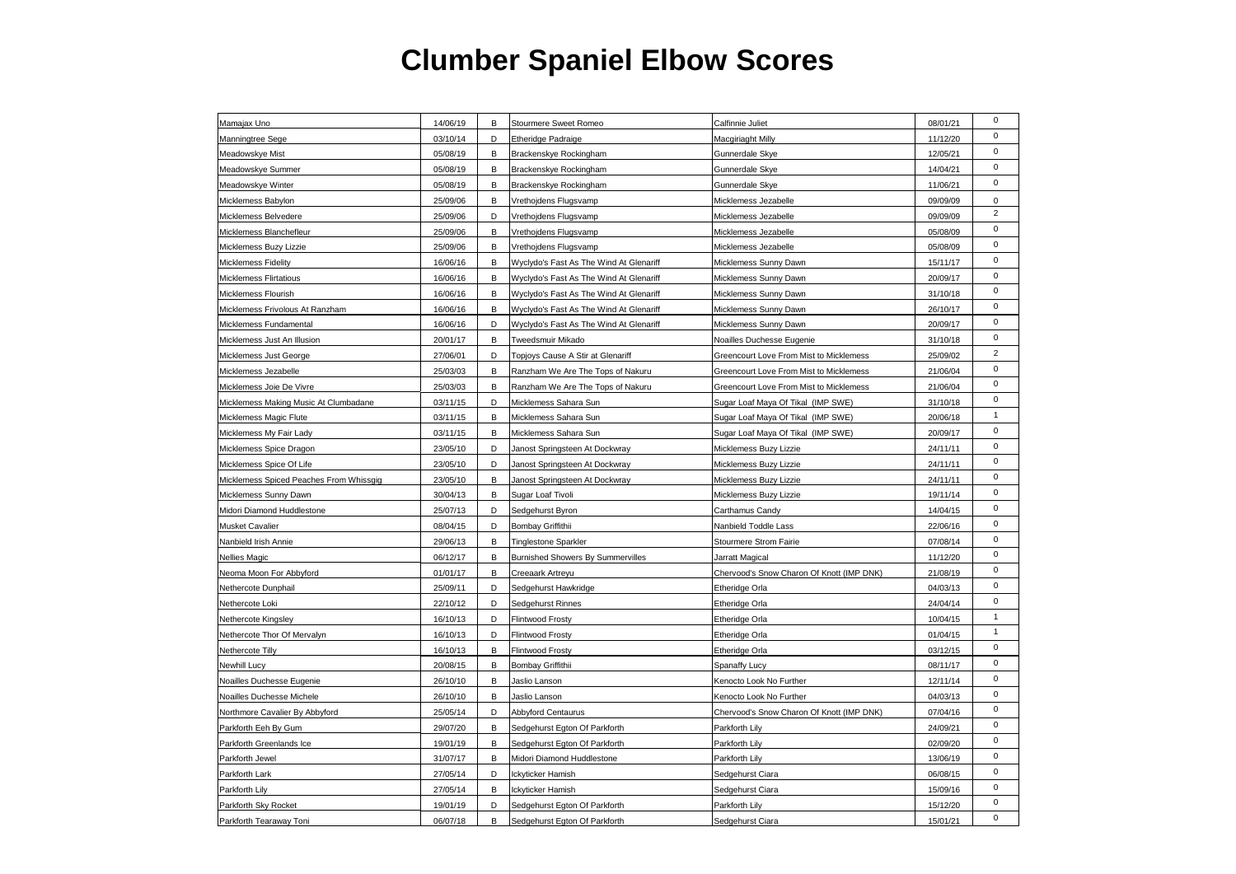| 03/10/14<br>Macgiriaght Milly<br>11/12/20<br>Manningtree Sege<br>D<br><b>Etheridge Padraige</b><br>05/08/19<br>Meadowskye Mist<br>В<br>Brackenskye Rockingham<br>Gunnerdale Skye<br>12/05/21<br>05/08/19<br>14/04/21<br>Meadowskye Summer<br>В<br>Brackenskye Rockingham<br>Gunnerdale Skye<br>Meadowskye Winter<br>05/08/19<br>Brackenskye Rockingham<br>11/06/21<br>B<br>Gunnerdale Skye<br>Micklemess Babylon<br>25/09/06<br>В<br>09/09/09<br>Vrethojdens Flugsvamp<br>Micklemess Jezabelle<br>25/09/06<br>Micklemess Jezabelle<br>09/09/09<br>Micklemess Belvedere<br>D<br>Vrethojdens Flugsvamp | $\mathbf 0$<br>$\pmb{0}$<br>$\pmb{0}$<br>$\pmb{0}$<br>0<br>$\overline{2}$<br>$\pmb{0}$<br>$\mathbf 0$<br>$\pmb{0}$<br>$\mathbf 0$<br>$\pmb{0}$<br>$\pmb{0}$ |
|------------------------------------------------------------------------------------------------------------------------------------------------------------------------------------------------------------------------------------------------------------------------------------------------------------------------------------------------------------------------------------------------------------------------------------------------------------------------------------------------------------------------------------------------------------------------------------------------------|-------------------------------------------------------------------------------------------------------------------------------------------------------------|
|                                                                                                                                                                                                                                                                                                                                                                                                                                                                                                                                                                                                      |                                                                                                                                                             |
|                                                                                                                                                                                                                                                                                                                                                                                                                                                                                                                                                                                                      |                                                                                                                                                             |
|                                                                                                                                                                                                                                                                                                                                                                                                                                                                                                                                                                                                      |                                                                                                                                                             |
|                                                                                                                                                                                                                                                                                                                                                                                                                                                                                                                                                                                                      |                                                                                                                                                             |
|                                                                                                                                                                                                                                                                                                                                                                                                                                                                                                                                                                                                      |                                                                                                                                                             |
|                                                                                                                                                                                                                                                                                                                                                                                                                                                                                                                                                                                                      |                                                                                                                                                             |
| 25/09/06<br>05/08/09<br>Micklemess Blanchefleur<br>В<br>Vrethojdens Flugsvamp<br>Micklemess Jezabelle                                                                                                                                                                                                                                                                                                                                                                                                                                                                                                |                                                                                                                                                             |
| Micklemess Buzy Lizzie<br>25/09/06<br>05/08/09<br>В<br>Vrethojdens Flugsvamp<br>Micklemess Jezabelle                                                                                                                                                                                                                                                                                                                                                                                                                                                                                                 |                                                                                                                                                             |
| Micklemess Fidelity<br>16/06/16<br>Wyclydo's Fast As The Wind At Glenariff<br>Micklemess Sunny Dawn<br>15/11/17<br>в                                                                                                                                                                                                                                                                                                                                                                                                                                                                                 |                                                                                                                                                             |
| <b>Micklemess Flirtatious</b><br>16/06/16<br>Wyclydo's Fast As The Wind At Glenariff<br>Micklemess Sunny Dawn<br>20/09/17<br>В                                                                                                                                                                                                                                                                                                                                                                                                                                                                       |                                                                                                                                                             |
| 16/06/16<br>31/10/18<br>Micklemess Flourish<br>В<br>Wyclydo's Fast As The Wind At Glenariff<br>Micklemess Sunny Dawn                                                                                                                                                                                                                                                                                                                                                                                                                                                                                 |                                                                                                                                                             |
| Micklemess Frivolous At Ranzham<br>16/06/16<br>Wyclydo's Fast As The Wind At Glenariff<br>Micklemess Sunny Dawn<br>26/10/17<br>B                                                                                                                                                                                                                                                                                                                                                                                                                                                                     |                                                                                                                                                             |
| 16/06/16<br>D<br>20/09/17<br>Micklemess Fundamental<br>Wyclydo's Fast As The Wind At Glenariff<br>Micklemess Sunny Dawn                                                                                                                                                                                                                                                                                                                                                                                                                                                                              | $\pmb{0}$                                                                                                                                                   |
| Micklemess Just An Illusion<br>20/01/17<br>В<br>Tweedsmuir Mikado<br>Noailles Duchesse Eugenie<br>31/10/18                                                                                                                                                                                                                                                                                                                                                                                                                                                                                           | $\mathbf 0$                                                                                                                                                 |
| 25/09/02<br>Micklemess Just George<br>27/06/01<br>D<br>Topjoys Cause A Stir at Glenariff<br>Greencourt Love From Mist to Micklemess                                                                                                                                                                                                                                                                                                                                                                                                                                                                  | $\sqrt{2}$                                                                                                                                                  |
| 25/03/03<br>21/06/04<br>Micklemess Jezabelle<br>В<br>Ranzham We Are The Tops of Nakuru<br>Greencourt Love From Mist to Micklemess                                                                                                                                                                                                                                                                                                                                                                                                                                                                    | 0                                                                                                                                                           |
| Micklemess Joie De Vivre<br>25/03/03<br>Ranzham We Are The Tops of Nakuru<br>21/06/04<br>В<br>Greencourt Love From Mist to Micklemess                                                                                                                                                                                                                                                                                                                                                                                                                                                                | $\mathsf 0$                                                                                                                                                 |
| Micklemess Making Music At Clumbadane<br>03/11/15<br>D<br>Micklemess Sahara Sun<br>Sugar Loaf Maya Of Tikal (IMP SWE)<br>31/10/18                                                                                                                                                                                                                                                                                                                                                                                                                                                                    | $\mathbf 0$                                                                                                                                                 |
| 20/06/18<br>Micklemess Magic Flute<br>03/11/15<br>В<br>Micklemess Sahara Sun<br>Sugar Loaf Maya Of Tikal (IMP SWE)                                                                                                                                                                                                                                                                                                                                                                                                                                                                                   | $\mathbf{1}$                                                                                                                                                |
| Micklemess My Fair Lady<br>03/11/15<br>В<br>Micklemess Sahara Sun<br>Sugar Loaf Maya Of Tikal (IMP SWE)<br>20/09/17                                                                                                                                                                                                                                                                                                                                                                                                                                                                                  | $\mathsf 0$                                                                                                                                                 |
| 23/05/10<br>D<br>24/11/11<br>Micklemess Spice Dragon<br>Janost Springsteen At Dockwray<br>Micklemess Buzy Lizzie                                                                                                                                                                                                                                                                                                                                                                                                                                                                                     | $\mathsf 0$                                                                                                                                                 |
| 23/05/10<br>Micklemess Spice Of Life<br>D<br>Janost Springsteen At Dockwray<br>Micklemess Buzy Lizzie<br>24/11/11                                                                                                                                                                                                                                                                                                                                                                                                                                                                                    | $\pmb{0}$                                                                                                                                                   |
| 23/05/10<br>Micklemess Spiced Peaches From Whissgig<br>В<br>Janost Springsteen At Dockwray<br>Micklemess Buzy Lizzie<br>24/11/11                                                                                                                                                                                                                                                                                                                                                                                                                                                                     | $\mathbf 0$                                                                                                                                                 |
| 30/04/13<br>Micklemess Sunny Dawn<br>В<br>Sugar Loaf Tivoli<br>Micklemess Buzy Lizzie<br>19/11/14                                                                                                                                                                                                                                                                                                                                                                                                                                                                                                    | $\mathbf 0$                                                                                                                                                 |
| Midori Diamond Huddlestone<br>25/07/13<br>Sedgehurst Byron<br>14/04/15<br>D<br>Carthamus Candy                                                                                                                                                                                                                                                                                                                                                                                                                                                                                                       | $\mathsf 0$                                                                                                                                                 |
| Musket Cavalier<br>08/04/15<br>D<br>Bombay Griffithii<br>Nanbield Toddle Lass<br>22/06/16                                                                                                                                                                                                                                                                                                                                                                                                                                                                                                            | $\pmb{0}$                                                                                                                                                   |
| Nanbield Irish Annie<br>29/06/13<br>В<br><b>Tinglestone Sparkler</b><br>Stourmere Strom Fairie<br>07/08/14                                                                                                                                                                                                                                                                                                                                                                                                                                                                                           | $\mathbf 0$                                                                                                                                                 |
| <b>Nellies Magic</b><br>06/12/17<br>В<br><b>Burnished Showers By Summervilles</b><br>11/12/20<br>Jarratt Magical                                                                                                                                                                                                                                                                                                                                                                                                                                                                                     | $\mathbf 0$                                                                                                                                                 |
| 01/01/17<br>21/08/19<br>Neoma Moon For Abbyford<br>В<br>Creeaark Artreyu<br>Chervood's Snow Charon Of Knott (IMP DNK)                                                                                                                                                                                                                                                                                                                                                                                                                                                                                | $\mathsf 0$                                                                                                                                                 |
| 04/03/13<br>Nethercote Dunphail<br>25/09/11<br>D<br>Sedgehurst Hawkridge<br>Etheridge Orla                                                                                                                                                                                                                                                                                                                                                                                                                                                                                                           | $\pmb{0}$                                                                                                                                                   |
| Nethercote Loki<br>22/10/12<br>D<br>Sedgehurst Rinnes<br>Etheridge Orla<br>24/04/14                                                                                                                                                                                                                                                                                                                                                                                                                                                                                                                  | $\mathsf 0$                                                                                                                                                 |
| D<br>Flintwood Frosty<br>10/04/15<br>Nethercote Kingsley<br>16/10/13<br>Etheridge Orla                                                                                                                                                                                                                                                                                                                                                                                                                                                                                                               | $\mathbf{1}$                                                                                                                                                |
| Nethercote Thor Of Mervalyn<br>16/10/13<br>01/04/15<br>D<br><b>Flintwood Frosty</b><br>Etheridge Orla                                                                                                                                                                                                                                                                                                                                                                                                                                                                                                | $\mathbf{1}$                                                                                                                                                |
| Nethercote Tilly<br>16/10/13<br>B<br><b>Flintwood Frosty</b><br>Etheridge Orla<br>03/12/15                                                                                                                                                                                                                                                                                                                                                                                                                                                                                                           | $\pmb{0}$                                                                                                                                                   |
| Newhill Lucy<br>20/08/15<br>В<br>Bombay Griffithii<br>08/11/17<br>Spanaffy Lucy                                                                                                                                                                                                                                                                                                                                                                                                                                                                                                                      | $\mathbf 0$                                                                                                                                                 |
| 26/10/10<br>В<br>Jaslio Lanson<br>12/11/14<br>Noailles Duchesse Eugenie<br>Kenocto Look No Further                                                                                                                                                                                                                                                                                                                                                                                                                                                                                                   | $\pmb{0}$                                                                                                                                                   |
| 26/10/10<br>04/03/13<br>Noailles Duchesse Michele<br>В<br>Jaslio Lanson<br>Kenocto Look No Further                                                                                                                                                                                                                                                                                                                                                                                                                                                                                                   | $\mathbf 0$                                                                                                                                                 |
| 25/05/14<br>07/04/16<br>Northmore Cavalier By Abbyford<br>D<br>Abbyford Centaurus<br>Chervood's Snow Charon Of Knott (IMP DNK)                                                                                                                                                                                                                                                                                                                                                                                                                                                                       | $\pmb{0}$                                                                                                                                                   |
| Parkforth Eeh By Gum<br>29/07/20<br>24/09/21<br>В<br>Sedgehurst Egton Of Parkforth<br>Parkforth Lily                                                                                                                                                                                                                                                                                                                                                                                                                                                                                                 | $\pmb{0}$                                                                                                                                                   |
| 02/09/20<br>Parkforth Greenlands Ice<br>19/01/19<br>В<br>Sedgehurst Egton Of Parkforth<br>Parkforth Lily                                                                                                                                                                                                                                                                                                                                                                                                                                                                                             | $\pmb{0}$                                                                                                                                                   |
| 31/07/17<br>Midori Diamond Huddlestone<br>Parkforth Lily<br>13/06/19<br>Parkforth Jewel<br>В                                                                                                                                                                                                                                                                                                                                                                                                                                                                                                         | $\mathbf 0$                                                                                                                                                 |
| Parkforth Lark<br>27/05/14<br>D<br>06/08/15<br>lckyticker Hamish<br>Sedgehurst Ciara                                                                                                                                                                                                                                                                                                                                                                                                                                                                                                                 | $\pmb{0}$                                                                                                                                                   |
| Parkforth Lily<br>27/05/14<br>В<br>Ickyticker Hamish<br>Sedgehurst Ciara<br>15/09/16                                                                                                                                                                                                                                                                                                                                                                                                                                                                                                                 | $\pmb{0}$                                                                                                                                                   |
| Parkforth Sky Rocket<br>19/01/19<br>D<br>Sedgehurst Egton Of Parkforth<br>Parkforth Lily<br>15/12/20                                                                                                                                                                                                                                                                                                                                                                                                                                                                                                 | $\pmb{0}$                                                                                                                                                   |
| 06/07/18<br>15/01/21<br>Parkforth Tearaway Toni<br>В<br>Sedgehurst Egton Of Parkforth<br>Sedgehurst Ciara                                                                                                                                                                                                                                                                                                                                                                                                                                                                                            | $\mathbf 0$                                                                                                                                                 |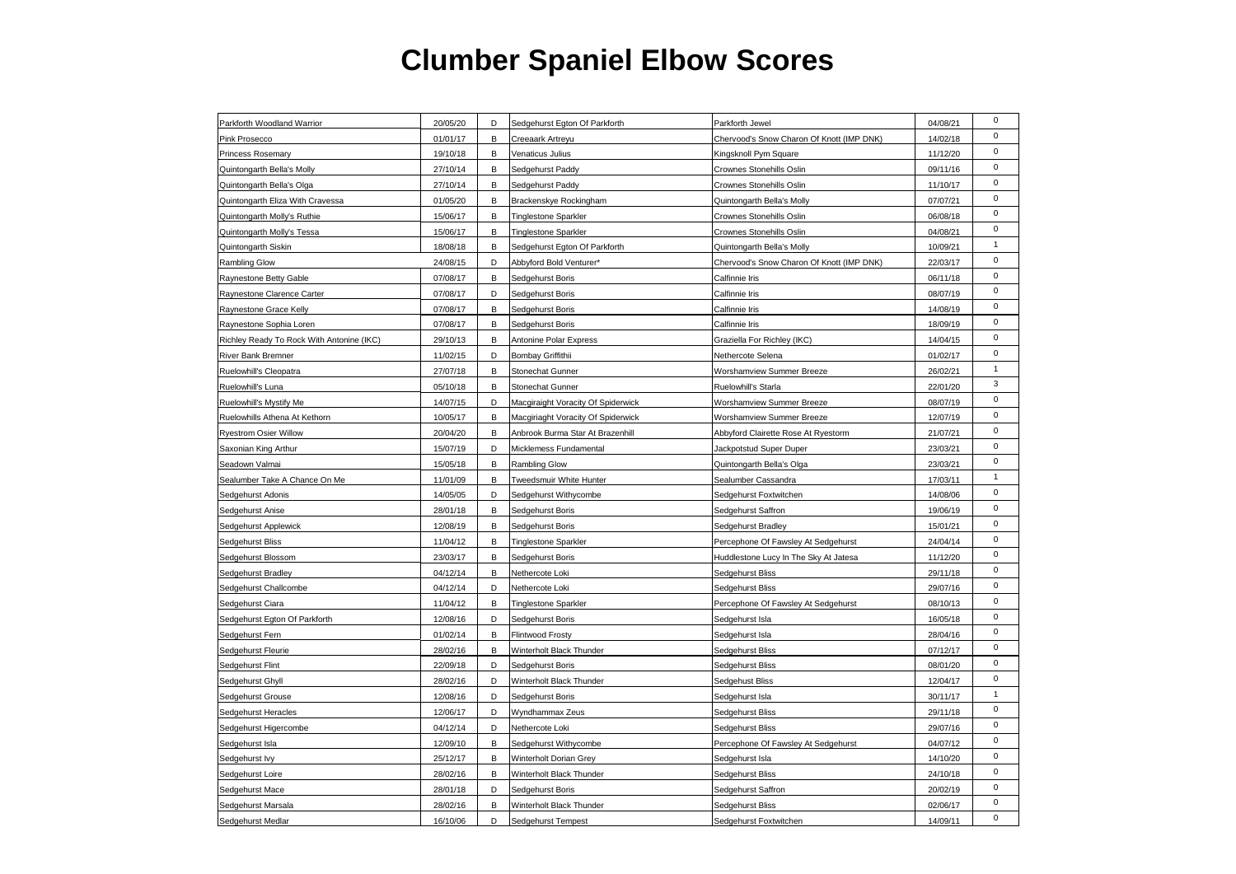| Parkforth Woodland Warrior                | 20/05/20 | D | Sedgehurst Egton Of Parkforth      | Parkforth Jewel                           | 04/08/21 | $\mathbf 0$  |
|-------------------------------------------|----------|---|------------------------------------|-------------------------------------------|----------|--------------|
| Pink Prosecco                             | 01/01/17 | В | Creeaark Artreyu                   | Chervood's Snow Charon Of Knott (IMP DNK) | 14/02/18 | $\mathbf 0$  |
| <b>Princess Rosemary</b>                  | 19/10/18 | В | Venaticus Julius                   | Kingsknoll Pym Square                     | 11/12/20 | 0            |
| Quintongarth Bella's Molly                | 27/10/14 | В | Sedgehurst Paddy                   | Crownes Stonehills Oslin                  | 09/11/16 | $\mathsf 0$  |
| Quintongarth Bella's Olga                 | 27/10/14 | B | Sedgehurst Paddy                   | Crownes Stonehills Oslin                  | 11/10/17 | $\pmb{0}$    |
| Quintongarth Eliza With Cravessa          | 01/05/20 | В | Brackenskye Rockingham             | Quintongarth Bella's Molly                | 07/07/21 | $\pmb{0}$    |
| Quintongarth Molly's Ruthie               | 15/06/17 | В | <b>Tinglestone Sparkler</b>        | Crownes Stonehills Oslin                  | 06/08/18 | 0            |
| Quintongarth Molly's Tessa                | 15/06/17 | B | <b>Tinglestone Sparkler</b>        | Crownes Stonehills Oslin                  | 04/08/21 | $\pmb{0}$    |
| Quintongarth Siskin                       | 18/08/18 | в | Sedgehurst Egton Of Parkforth      | Quintongarth Bella's Molly                | 10/09/21 | $\mathbf{1}$ |
| <b>Rambling Glow</b>                      | 24/08/15 | D | Abbyford Bold Venturer*            | Chervood's Snow Charon Of Knott (IMP DNK) | 22/03/17 | $\pmb{0}$    |
| Raynestone Betty Gable                    | 07/08/17 | В | Sedgehurst Boris                   | Calfinnie Iris                            | 06/11/18 | $\mathsf 0$  |
| Raynestone Clarence Carter                | 07/08/17 | D | Sedgehurst Boris                   | Calfinnie Iris                            | 08/07/19 | $\pmb{0}$    |
| Raynestone Grace Kelly                    | 07/08/17 | B | Sedgehurst Boris                   | Calfinnie Iris                            | 14/08/19 | $\mathbf 0$  |
| Raynestone Sophia Loren                   | 07/08/17 | В | Sedgehurst Boris                   | Calfinnie Iris                            | 18/09/19 | $\pmb{0}$    |
| Richley Ready To Rock With Antonine (IKC) | 29/10/13 | В | Antonine Polar Express             | Graziella For Richley (IKC)               | 14/04/15 | $\mathsf 0$  |
| <b>River Bank Bremner</b>                 | 11/02/15 | D | Bombay Griffithii                  | Nethercote Selena                         | 01/02/17 | $\pmb{0}$    |
| Ruelowhill's Cleopatra                    | 27/07/18 | B | Stonechat Gunner                   | Worshamview Summer Breeze                 | 26/02/21 | $\mathbf{1}$ |
| Ruelowhill's Luna                         | 05/10/18 | В | Stonechat Gunner                   | Ruelowhill's Starla                       | 22/01/20 | 3            |
| Ruelowhill's Mystify Me                   | 14/07/15 | D | Macgiraight Voracity Of Spiderwick | Worshamview Summer Breeze                 | 08/07/19 | $\mathsf 0$  |
| Ruelowhills Athena At Kethorn             | 10/05/17 | В | Macgiriaght Voracity Of Spiderwick | Worshamview Summer Breeze                 | 12/07/19 | $\pmb{0}$    |
| <b>Ryestrom Osier Willow</b>              | 20/04/20 | B | Anbrook Burma Star At Brazenhill   | Abbyford Clairette Rose At Ryestorm       | 21/07/21 | $\mathsf 0$  |
| Saxonian King Arthur                      | 15/07/19 | D | Micklemess Fundamental             | Jackpotstud Super Duper                   | 23/03/21 | $\pmb{0}$    |
| Seadown Valmai                            | 15/05/18 | В | Rambling Glow                      | Quintongarth Bella's Olga                 | 23/03/21 | $\mathsf 0$  |
| Sealumber Take A Chance On Me             | 11/01/09 | B | Tweedsmuir White Hunter            | Sealumber Cassandra                       | 17/03/11 | $\mathbf{1}$ |
| Sedgehurst Adonis                         | 14/05/05 | D | Sedgehurst Withycombe              | Sedgehurst Foxtwitchen                    | 14/08/06 | $\mathbf 0$  |
| Sedgehurst Anise                          | 28/01/18 | В | Sedgehurst Boris                   | Sedgehurst Saffron                        | 19/06/19 | $\pmb{0}$    |
| Sedgehurst Applewick                      | 12/08/19 | В | Sedgehurst Boris                   | Sedgehurst Bradley                        | 15/01/21 | $\mathsf 0$  |
| Sedgehurst Bliss                          | 11/04/12 | в | <b>Tinglestone Sparkler</b>        | Percephone Of Fawsley At Sedgehurst       | 24/04/14 | 0            |
| Sedgehurst Blossom                        | 23/03/17 | B | Sedgehurst Boris                   | Huddlestone Lucy In The Sky At Jatesa     | 11/12/20 | $\mathsf 0$  |
| Sedgehurst Bradley                        | 04/12/14 | В | Nethercote Loki                    | Sedgehurst Bliss                          | 29/11/18 | $\pmb{0}$    |
| Sedgehurst Challcombe                     | 04/12/14 | D | Nethercote Loki                    | Sedgehurst Bliss                          | 29/07/16 | $\mathsf 0$  |
| Sedgehurst Ciara                          | 11/04/12 | В | <b>Tinglestone Sparkler</b>        | Percephone Of Fawsley At Sedgehurst       | 08/10/13 | 0            |
| Sedgehurst Egton Of Parkforth             | 12/08/16 | D | Sedgehurst Boris                   | Sedgehurst Isla                           | 16/05/18 | $\pmb{0}$    |
| Sedgehurst Fern                           | 01/02/14 | В | <b>Flintwood Frosty</b>            | Sedgehurst Isla                           | 28/04/16 | $\mathbf 0$  |
| Sedgehurst Fleurie                        | 28/02/16 | B | Winterholt Black Thunder           | Sedgehurst Bliss                          | 07/12/17 | $\pmb{0}$    |
| Sedgehurst Flint                          | 22/09/18 | D | Sedgehurst Boris                   | Sedgehurst Bliss                          | 08/01/20 | $\mathsf 0$  |
| Sedgehurst Ghyll                          | 28/02/16 | D | Winterholt Black Thunder           | Sedgehust Bliss                           | 12/04/17 | $\pmb{0}$    |
| Sedgehurst Grouse                         | 12/08/16 | D | Sedgehurst Boris                   | Sedgehurst Isla                           | 30/11/17 | $\mathbf{1}$ |
| Sedgehurst Heracles                       | 12/06/17 | D | Wyndhammax Zeus                    | Sedgehurst Bliss                          | 29/11/18 | $\pmb{0}$    |
| Sedgehurst Higercombe                     | 04/12/14 | D | Nethercote Loki                    | Sedgehurst Bliss                          | 29/07/16 | $\mathsf 0$  |
| Sedgehurst Isla                           | 12/09/10 | B | Sedgehurst Withycombe              | Percephone Of Fawsley At Sedgehurst       | 04/07/12 | $\pmb{0}$    |
| Sedgehurst lvy                            | 25/12/17 | В | Winterholt Dorian Grey             | Sedgehurst Isla                           | 14/10/20 | $\mathbf 0$  |
| Sedgehurst Loire                          | 28/02/16 | В | Winterholt Black Thunder           | Sedgehurst Bliss                          | 24/10/18 | $\pmb{0}$    |
| Sedgehurst Mace                           | 28/01/18 | D | Sedgehurst Boris                   | Sedgehurst Saffron                        | 20/02/19 | $\pmb{0}$    |
| Sedgehurst Marsala                        | 28/02/16 | B | Winterholt Black Thunder           | Sedgehurst Bliss                          | 02/06/17 | $\pmb{0}$    |
| Sedgehurst Medlar                         | 16/10/06 | D | Sedgehurst Tempest                 | Sedgehurst Foxtwitchen                    | 14/09/11 | $\mathbf 0$  |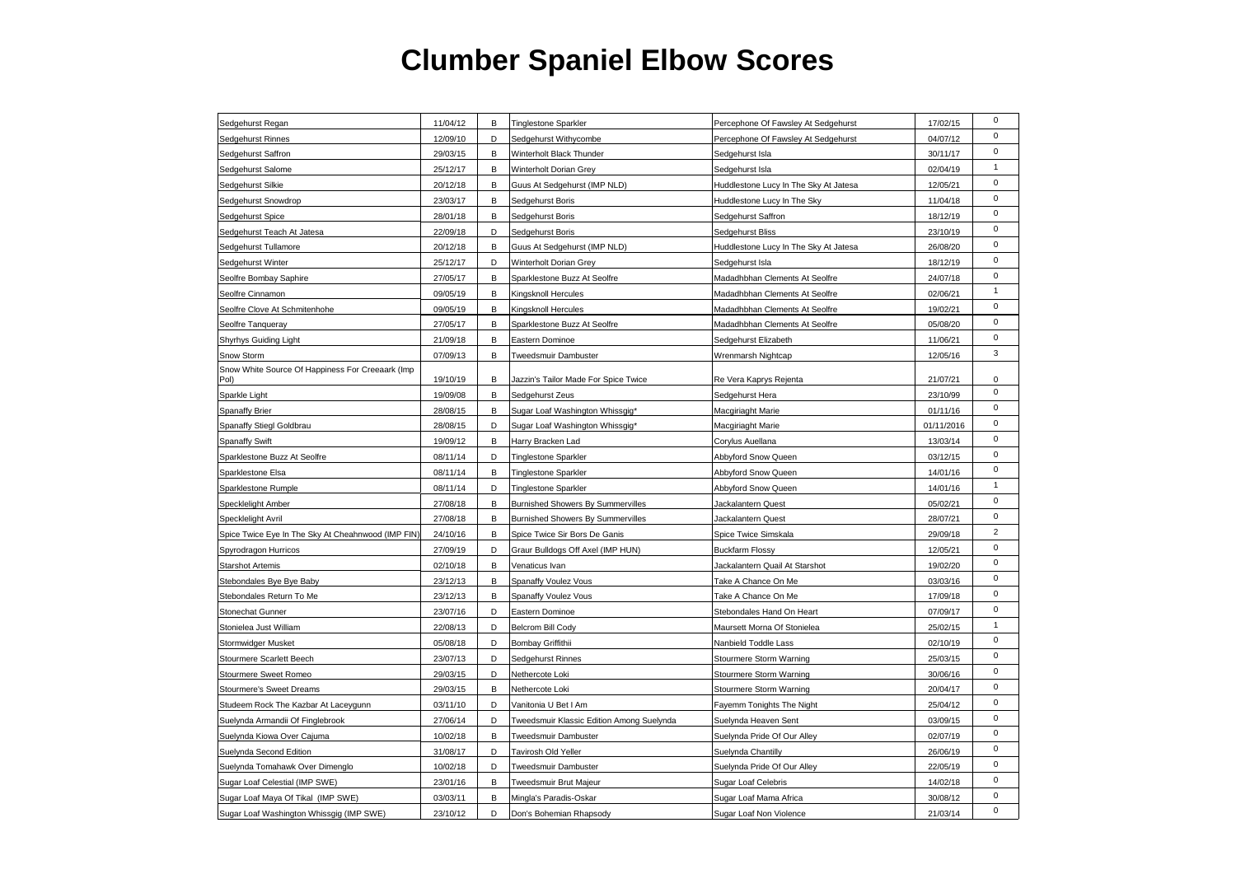| Sedgehurst Regan                                         | 11/04/12 | В | Tinglestone Sparkler                      | Percephone Of Fawsley At Sedgehurst   | 17/02/15   | $\mathbf 0$    |
|----------------------------------------------------------|----------|---|-------------------------------------------|---------------------------------------|------------|----------------|
| Sedgehurst Rinnes                                        | 12/09/10 | D | Sedgehurst Withycombe                     | Percephone Of Fawsley At Sedgehurst   | 04/07/12   | $\mathbf 0$    |
| Sedgehurst Saffron                                       | 29/03/15 | B | Winterholt Black Thunder                  | Sedgehurst Isla                       | 30/11/17   | $\mathbf 0$    |
| Sedgehurst Salome                                        | 25/12/17 | B | Winterholt Dorian Grey                    | Sedgehurst Isla                       | 02/04/19   | $\mathbf{1}$   |
| Sedgehurst Silkie                                        | 20/12/18 | В | Guus At Sedgehurst (IMP NLD)              | Huddlestone Lucy In The Sky At Jatesa | 12/05/21   | $\pmb{0}$      |
| Sedgehurst Snowdrop                                      | 23/03/17 | В | Sedgehurst Boris                          | Huddlestone Lucy In The Sky           | 11/04/18   | $\mathsf 0$    |
| Sedgehurst Spice                                         | 28/01/18 | В | Sedgehurst Boris                          | Sedgehurst Saffron                    | 18/12/19   | $\pmb{0}$      |
| Sedgehurst Teach At Jatesa                               | 22/09/18 | D | Sedgehurst Boris                          | Sedgehurst Bliss                      | 23/10/19   | $\mathsf 0$    |
| Sedgehurst Tullamore                                     | 20/12/18 | В | Guus At Sedgehurst (IMP NLD)              | Huddlestone Lucy In The Sky At Jatesa | 26/08/20   | $\mathsf 0$    |
| Sedgehurst Winter                                        | 25/12/17 | D | Winterholt Dorian Grey                    | Sedgehurst Isla                       | 18/12/19   | $\mathbf 0$    |
| Seolfre Bombay Saphire                                   | 27/05/17 | В | Sparklestone Buzz At Seolfre              | Madadhbhan Clements At Seolfre        | 24/07/18   | $\mathbf 0$    |
| Seolfre Cinnamon                                         | 09/05/19 | В | Kingsknoll Hercules                       | Madadhbhan Clements At Seolfre        | 02/06/21   | $\mathbf{1}$   |
| Seolfre Clove At Schmitenhohe                            | 09/05/19 | В | Kingsknoll Hercules                       | Madadhbhan Clements At Seolfre        | 19/02/21   | $\pmb{0}$      |
| Seolfre Tanqueray                                        | 27/05/17 | В | Sparklestone Buzz At Seolfre              | Madadhbhan Clements At Seolfre        | 05/08/20   | $\mathsf 0$    |
| Shyrhys Guiding Light                                    | 21/09/18 | В | Eastern Dominoe                           | Sedgehurst Elizabeth                  | 11/06/21   | $\pmb{0}$      |
| Snow Storm                                               | 07/09/13 | В | Tweedsmuir Dambuster                      | Wrenmarsh Nightcap                    | 12/05/16   | 3              |
| Snow White Source Of Happiness For Creeaark (Imp<br>Pol) | 19/10/19 | В | Jazzin's Tailor Made For Spice Twice      | Re Vera Kaprys Rejenta                | 21/07/21   | $\mathbf 0$    |
| Sparkle Light                                            | 19/09/08 | В | Sedgehurst Zeus                           | Sedgehurst Hera                       | 23/10/99   | $\pmb{0}$      |
| Spanaffy Brier                                           | 28/08/15 | в | Sugar Loaf Washington Whissgig*           | Macgiriaght Marie                     | 01/11/16   | $\pmb{0}$      |
| Spanaffy Stiegl Goldbrau                                 | 28/08/15 | D | Sugar Loaf Washington Whissgig*           | Macgiriaght Marie                     | 01/11/2016 | $\pmb{0}$      |
| <b>Spanaffy Swift</b>                                    | 19/09/12 | В | Harry Bracken Lad                         | Corylus Auellana                      | 13/03/14   | $\mathbf 0$    |
| Sparklestone Buzz At Seolfre                             | 08/11/14 | D | <b>Tinglestone Sparkler</b>               | Abbyford Snow Queen                   | 03/12/15   | $\mathbf 0$    |
| Sparklestone Elsa                                        | 08/11/14 | B | <b>Tinglestone Sparkler</b>               | Abbyford Snow Queen                   | 14/01/16   | $\mathsf 0$    |
| Sparklestone Rumple                                      | 08/11/14 | D | <b>Tinglestone Sparkler</b>               | Abbyford Snow Queen                   | 14/01/16   | $\mathbf{1}$   |
| Specklelight Amber                                       | 27/08/18 | B | Burnished Showers By Summervilles         | Jackalantern Quest                    | 05/02/21   | $\mathbf 0$    |
| Specklelight Avril                                       | 27/08/18 | В | Burnished Showers By Summervilles         | Jackalantern Quest                    | 28/07/21   | $\pmb{0}$      |
| Spice Twice Eye In The Sky At Cheahnwood (IMP FIN)       | 24/10/16 | В | Spice Twice Sir Bors De Ganis             | Spice Twice Simskala                  | 29/09/18   | $\overline{2}$ |
| Spyrodragon Hurricos                                     | 27/09/19 | D | Graur Bulldogs Off Axel (IMP HUN)         | <b>Buckfarm Flossy</b>                | 12/05/21   | $\pmb{0}$      |
| <b>Starshot Artemis</b>                                  | 02/10/18 | В | Venaticus Ivan                            | Jackalantern Quail At Starshot        | 19/02/20   | $\mathbf 0$    |
| Stebondales Bye Bye Baby                                 | 23/12/13 | В | Spanaffy Voulez Vous                      | Take A Chance On Me                   | 03/03/16   | 0              |
| Stebondales Return To Me                                 | 23/12/13 | В | Spanaffy Voulez Vous                      | Take A Chance On Me                   | 17/09/18   | $\mathbf 0$    |
| Stonechat Gunner                                         | 23/07/16 | D | Eastern Dominoe                           | Stebondales Hand On Heart             | 07/09/17   | $\pmb{0}$      |
| Stonielea Just William                                   | 22/08/13 | D | Belcrom Bill Cody                         | Maursett Morna Of Stonielea           | 25/02/15   | $\mathbf{1}$   |
| Stormwidger Musket                                       | 05/08/18 | D | Bombay Griffithii                         | Nanbield Toddle Lass                  | 02/10/19   | $\pmb{0}$      |
| Stourmere Scarlett Beech                                 | 23/07/13 | D | Sedgehurst Rinnes                         | Stourmere Storm Warning               | 25/03/15   | $\pmb{0}$      |
| Stourmere Sweet Romeo                                    | 29/03/15 | D | Nethercote Loki                           | Stourmere Storm Warning               | 30/06/16   | $\mathbf 0$    |
| Stourmere's Sweet Dreams                                 | 29/03/15 | В | Nethercote Loki                           | Stourmere Storm Warning               | 20/04/17   | $\mathbf 0$    |
| Studeem Rock The Kazbar At Laceygunn                     | 03/11/10 | D | Vanitonia U Bet I Am                      | Fayemm Tonights The Night             | 25/04/12   | $\pmb{0}$      |
| Suelynda Armandii Of Finglebrook                         | 27/06/14 | D | Tweedsmuir Klassic Edition Among Suelynda | Suelynda Heaven Sent                  | 03/09/15   | $\pmb{0}$      |
| Suelynda Kiowa Over Cajuma                               | 10/02/18 | В | Tweedsmuir Dambuster                      | Suelynda Pride Of Our Alley           | 02/07/19   | $\mathsf 0$    |
| Suelynda Second Edition                                  | 31/08/17 | D | Tavirosh Old Yeller                       | Suelynda Chantilly                    | 26/06/19   | $\mathsf 0$    |
| Suelynda Tomahawk Over Dimenglo                          | 10/02/18 | D | Tweedsmuir Dambuster                      | Suelynda Pride Of Our Alley           | 22/05/19   | $\pmb{0}$      |
| Sugar Loaf Celestial (IMP SWE)                           | 23/01/16 | В | Tweedsmuir Brut Majeur                    | Sugar Loaf Celebris                   | 14/02/18   | $\mathsf 0$    |
| Sugar Loaf Maya Of Tikal (IMP SWE)                       | 03/03/11 | B | Mingla's Paradis-Oskar                    | Sugar Loaf Mama Africa                | 30/08/12   | $\pmb{0}$      |
| Sugar Loaf Washington Whissgig (IMP SWE)                 | 23/10/12 | D | Don's Bohemian Rhapsody                   | Sugar Loaf Non Violence               | 21/03/14   | $\mathbf 0$    |